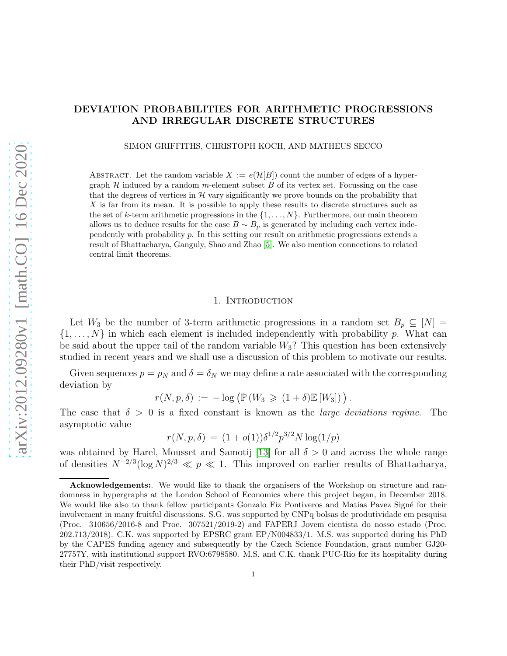# DEVIATION PROBABILITIES FOR ARITHMETIC PROGRESSIONS AND IRREGULAR DISCRETE STRUCTURES

SIMON GRIFFITHS, CHRISTOPH KOCH, AND MATHEUS SECCO

ABSTRACT. Let the random variable  $X := e(\mathcal{H}[B])$  count the number of edges of a hypergraph  $H$  induced by a random m-element subset  $B$  of its vertex set. Focussing on the case that the degrees of vertices in  $H$  vary significantly we prove bounds on the probability that X is far from its mean. It is possible to apply these results to discrete structures such as the set of k-term arithmetic progressions in the  $\{1, \ldots, N\}$ . Furthermore, our main theorem allows us to deduce results for the case  $B \sim B_p$  is generated by including each vertex independently with probability p. In this setting our result on arithmetic progressions extends a result of Bhattacharya, Ganguly, Shao and Zhao [\[5\]](#page-30-0). We also mention connections to related central limit theorems.

## 1. INTRODUCTION

Let  $W_3$  be the number of 3-term arithmetic progressions in a random set  $B_p \subseteq [N] =$  $\{1,\ldots,N\}$  in which each element is included independently with probability p. What can be said about the upper tail of the random variable  $W_3$ ? This question has been extensively studied in recent years and we shall use a discussion of this problem to motivate our results.

Given sequences  $p = p_N$  and  $\delta = \delta_N$  we may define a rate associated with the corresponding deviation by

$$
r(N, p, \delta) := -\log \left( \mathbb{P}\left( W_3 \geqslant (1+\delta) \mathbb{E}\left[ W_3 \right] \right) \right).
$$

The case that  $\delta > 0$  is a fixed constant is known as the *large deviations regime*. The asymptotic value

$$
r(N, p, \delta) = (1 + o(1))\delta^{1/2} p^{3/2} N \log(1/p)
$$

was obtained by Harel, Mousset and Samotij [\[13\]](#page-30-1) for all  $\delta > 0$  and across the whole range of densities  $N^{-2/3} (\log N)^{2/3} \ll p \ll 1$ . This improved on earlier results of Bhattacharya,

Acknowledgements:. We would like to thank the organisers of the Workshop on structure and randomness in hypergraphs at the London School of Economics where this project began, in December 2018. We would like also to thank fellow participants Gonzalo Fiz Pontiveros and Matías Pavez Signé for their involvement in many fruitful discussions. S.G. was supported by CNPq bolsas de produtividade em pesquisa (Proc. 310656/2016-8 and Proc. 307521/2019-2) and FAPERJ Jovem cientista do nosso estado (Proc. 202.713/2018). C.K. was supported by EPSRC grant EP/N004833/1. M.S. was supported during his PhD by the CAPES funding agency and subsequently by the Czech Science Foundation, grant number GJ20- 27757Y, with institutional support RVO:6798580. M.S. and C.K. thank PUC-Rio for its hospitality during their PhD/visit respectively.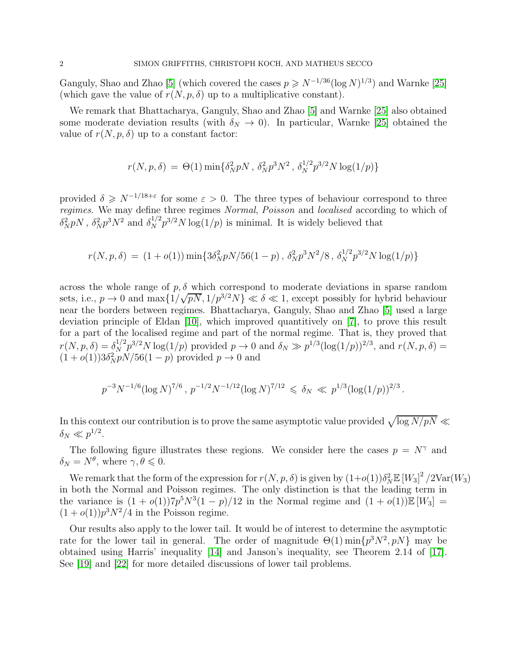Ganguly, Shao and Zhao [\[5\]](#page-30-0) (which covered the cases  $p \ge N^{-1/36} (\log N)^{1/3}$ ) and Warnke [\[25\]](#page-31-0) (which gave the value of  $r(N, p, \delta)$  up to a multiplicative constant).

We remark that Bhattacharya, Ganguly, Shao and Zhao [\[5\]](#page-30-0) and Warnke [\[25\]](#page-31-0) also obtained some moderate deviation results (with  $\delta_N \to 0$ ). In particular, Warnke [\[25\]](#page-31-0) obtained the value of  $r(N, p, \delta)$  up to a constant factor:

$$
r(N, p, \delta) = \Theta(1) \min \{ \delta_N^2 pN , \, \delta_N^2 p^3 N^2 , \, \delta_N^{1/2} p^{3/2} N \log(1/p) \}
$$

provided  $\delta \geq N^{-1/18+\epsilon}$  for some  $\varepsilon > 0$ . The three types of behaviour correspond to three regimes. We may define three regimes Normal, Poisson and localised according to which of  $\delta_N^2 pN$ ,  $\delta_N^2 p^3 N^2$  and  $\delta_N^{1/2} p^{3/2} N \log(1/p)$  is minimal. It is widely believed that

$$
r(N, p, \delta) = (1 + o(1)) \min\{3\delta_N^2 pN/56(1 - p), \delta_N^2 p^3 N^2/8, \delta_N^{1/2} p^{3/2} N \log(1/p)\}\
$$

across the whole range of  $p, \delta$  which correspond to moderate deviations in sparse random sets, i.e.,  $p \to 0$  and  $\max\{1/\sqrt{pN}, 1/p^{3/2}N\} \ll \delta \ll 1$ , except possibly for hybrid behaviour near the borders between regimes. Bhattacharya, Ganguly, Shao and Zhao [\[5\]](#page-30-0) used a large deviation principle of Eldan [\[10\]](#page-30-2), which improved quantitively on [\[7\]](#page-30-3), to prove this result for a part of the localised regime and part of the normal regime. That is, they proved that  $r(N, p, \delta) = \delta_N^{1/2} p^{3/2} N \log(1/p)$  provided  $p \to 0$  and  $\delta_N \gg p^{1/3} (\log(1/p))^{2/3}$ , and  $r(N, p, \delta) =$  $(1+o(1))3\delta_N^2 pN/56(1-p)$  provided  $p \to 0$  and

$$
p^{-3}N^{-1/6}(\log N)^{7/6}, p^{-1/2}N^{-1/12}(\log N)^{7/12} \leq \delta_N \ll p^{1/3}(\log(1/p))^{2/3}.
$$

In this context our contribution is to prove the same asymptotic value provided  $\sqrt{\log N/pN}$  $\delta_N \ll p^{1/2}.$ 

The following figure illustrates these regions. We consider here the cases  $p = N^{\gamma}$  and  $\delta_N = N^{\theta}$ , where  $\gamma, \theta \leqslant 0$ .

We remark that the form of the expression for  $r(N, p, \delta)$  is given by  $(1+o(1))\delta_N^2 \mathbb{E} [W_3]^2/2 \text{Var}(W_3)$ in both the Normal and Poisson regimes. The only distinction is that the leading term in the variance is  $(1+o(1))7p^5N^3(1-p)/12$  in the Normal regime and  $(1+o(1))\mathbb{E}[W_3] =$  $(1+o(1))p<sup>3</sup>N<sup>2</sup>/4$  in the Poisson regime.

Our results also apply to the lower tail. It would be of interest to determine the asymptotic rate for the lower tail in general. The order of magnitude  $\Theta(1) \min\{p^3 N^2, pN\}$  may be obtained using Harris' inequality [\[14\]](#page-30-4) and Janson's inequality, see Theorem 2.14 of [\[17\]](#page-30-5). See [\[19\]](#page-30-6) and [\[22\]](#page-31-1) for more detailed discussions of lower tail problems.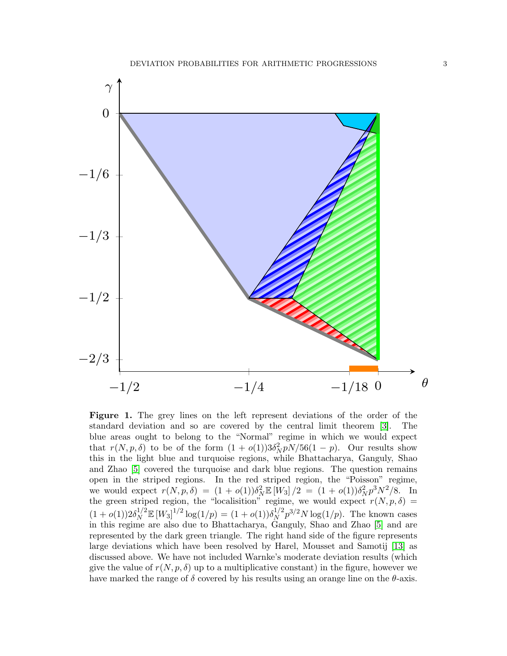

Figure 1. The grey lines on the left represent deviations of the order of the standard deviation and so are covered by the central limit theorem [\[3\]](#page-30-7). The blue areas ought to belong to the "Normal" regime in which we would expect that  $r(N, p, \delta)$  to be of the form  $(1 + o(1))3\delta_N^2 pN/56(1 - p)$ . Our results show this in the light blue and turquoise regions, while Bhattacharya, Ganguly, Shao and Zhao [\[5\]](#page-30-0) covered the turquoise and dark blue regions. The question remains open in the striped regions. In the red striped region, the "Poisson" regime, we would expect  $r(N, p, \delta) = (1 + o(1))\delta_N^2 \mathbb{E} [W_3]/2 = (1 + o(1))\delta_N^2 p^3 N^2/8$ . In the green striped region, the "localisition" regime, we would expect  $r(N, p, \delta)$  =  $(1 + o(1))2\delta_N^{1/2} \mathbb{E} [W_3]^{1/2} \log(1/p) = (1 + o(1))\delta_N^{1/2}$  $\int_N^{1/2} p^{3/2} N \log(1/p)$ . The known cases in this regime are also due to Bhattacharya, Ganguly, Shao and Zhao [\[5\]](#page-30-0) and are represented by the dark green triangle. The right hand side of the figure represents large deviations which have been resolved by Harel, Mousset and Samotij [\[13\]](#page-30-1) as discussed above. We have not included Warnke's moderate deviation results (which give the value of  $r(N, p, \delta)$  up to a multiplicative constant) in the figure, however we have marked the range of  $\delta$  covered by his results using an orange line on the  $\theta$ -axis.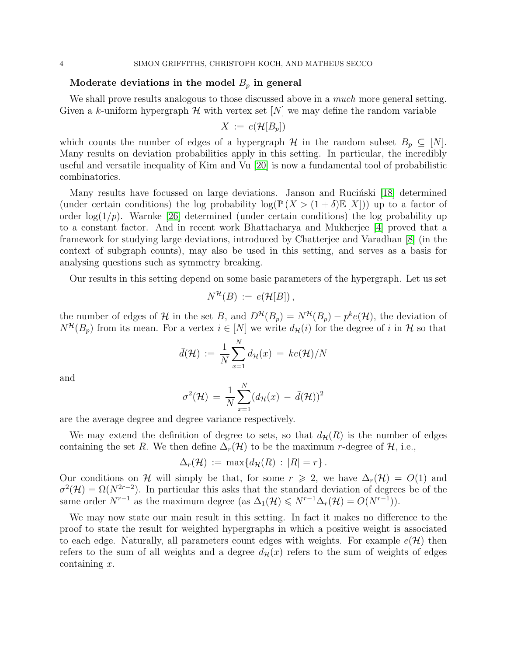## Moderate deviations in the model  $B_p$  in general

We shall prove results analogous to those discussed above in a *much* more general setting. Given a k-uniform hypergraph  $\mathcal H$  with vertex set  $[N]$  we may define the random variable

$$
X := e(\mathcal{H}[B_p])
$$

which counts the number of edges of a hypergraph  $\mathcal H$  in the random subset  $B_p \subseteq [N]$ . Many results on deviation probabilities apply in this setting. In particular, the incredibly useful and versatile inequality of Kim and Vu [\[20\]](#page-31-2) is now a fundamental tool of probabilistic combinatorics.

Many results have focussed on large deviations. Janson and Rucinski [\[18\]](#page-30-8) determined (under certain conditions) the log probability  $\log(\mathbb{P}(X > (1+\delta)\mathbb{E}[X]))$  up to a factor of order  $log(1/p)$ . Warnke [\[26\]](#page-31-3) determined (under certain conditions) the log probability up to a constant factor. And in recent work Bhattacharya and Mukherjee [\[4\]](#page-30-9) proved that a framework for studying large deviations, introduced by Chatterjee and Varadhan [\[8\]](#page-30-10) (in the context of subgraph counts), may also be used in this setting, and serves as a basis for analysing questions such as symmetry breaking.

Our results in this setting depend on some basic parameters of the hypergraph. Let us set

$$
N^{\mathcal{H}}(B) := e(\mathcal{H}[B]),
$$

the number of edges of H in the set B, and  $D^{\mathcal{H}}(B_p) = N^{\mathcal{H}}(B_p) - p^k e(\mathcal{H})$ , the deviation of  $N^{\mathcal{H}}(B_p)$  from its mean. For a vertex  $i \in [N]$  we write  $d_{\mathcal{H}}(i)$  for the degree of i in H so that

$$
\bar{d}(\mathcal{H}) := \frac{1}{N} \sum_{x=1}^{N} d_{\mathcal{H}}(x) = ke(\mathcal{H})/N
$$

and

$$
\sigma^2(\mathcal{H}) = \frac{1}{N} \sum_{x=1}^N (d_{\mathcal{H}}(x) - \bar{d}(\mathcal{H}))^2
$$

are the average degree and degree variance respectively.

We may extend the definition of degree to sets, so that  $d_{\mathcal{H}}(R)$  is the number of edges containing the set R. We then define  $\Delta_r(\mathcal{H})$  to be the maximum r-degree of  $\mathcal{H}$ , i.e.,

$$
\Delta_r(\mathcal{H}) := \max\{d_{\mathcal{H}}(R) : |R| = r\}.
$$

Our conditions on H will simply be that, for some  $r \geq 2$ , we have  $\Delta_r(\mathcal{H}) = O(1)$  and  $\sigma^2(\mathcal{H}) = \Omega(N^{2r-2})$ . In particular this asks that the standard deviation of degrees be of the same order  $N^{r-1}$  as the maximum degree (as  $\Delta_1(\mathcal{H}) \le N^{r-1}\Delta_r(\mathcal{H}) = O(N^{r-1})$ ).

We may now state our main result in this setting. In fact it makes no difference to the proof to state the result for weighted hypergraphs in which a positive weight is associated to each edge. Naturally, all parameters count edges with weights. For example  $e(\mathcal{H})$  then refers to the sum of all weights and a degree  $d_{\mathcal{H}}(x)$  refers to the sum of weights of edges containing  $x$ .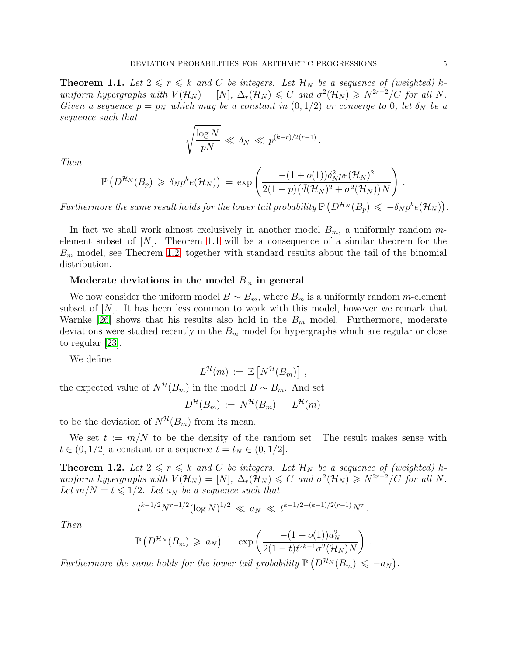<span id="page-4-0"></span>**Theorem 1.1.** Let  $2 \le r \le k$  and C be integers. Let  $\mathcal{H}_N$  be a sequence of (weighted) kuniform hypergraphs with  $V(\mathcal{H}_N) = [N]$ ,  $\Delta_r(\mathcal{H}_N) \leq C$  and  $\sigma^2(\mathcal{H}_N) \geq N^{2r-2}/C$  for all N. Given a sequence  $p = p_N$  which may be a constant in  $(0, 1/2)$  or converge to 0, let  $\delta_N$  be a sequence such that

$$
\sqrt{\frac{\log N}{pN}} \ll \delta_N \ll p^{(k-r)/2(r-1)}.
$$

Then

$$
\mathbb{P}\left(D^{\mathcal{H}_N}(B_p) \geq \delta_N p^k e(\mathcal{H}_N)\right) = \exp\left(\frac{-(1+o(1))\delta_N^2 p e(\mathcal{H}_N)^2}{2(1-p)\big(\bar{d}(\mathcal{H}_N)^2 + \sigma^2(\mathcal{H}_N)\big)N}\right).
$$

Furthermore the same result holds for the lower tail probability  $\mathbb{P}\left(D^{H_N}(B_p) \leq -\delta_N p^k e({\cal H}_N)\right)$ .

In fact we shall work almost exclusively in another model  $B_m$ , a uniformly random melement subset of  $[N]$ . Theorem [1.1](#page-4-0) will be a consequence of a similar theorem for the  $B<sub>m</sub>$  model, see Theorem [1.2,](#page-4-1) together with standard results about the tail of the binomial distribution.

## Moderate deviations in the model  $B_m$  in general

We now consider the uniform model  $B \sim B_m$ , where  $B_m$  is a uniformly random m-element subset of  $[N]$ . It has been less common to work with this model, however we remark that Warnke [\[26\]](#page-31-3) shows that his results also hold in the  $B<sub>m</sub>$  model. Furthermore, moderate deviations were studied recently in the  $B_m$  model for hypergraphs which are regular or close to regular [\[23\]](#page-31-4).

We define

$$
L^{\mathcal{H}}(m) := \mathbb{E}\left[N^{\mathcal{H}}(B_m)\right],
$$

the expected value of  $N^{\mathcal{H}}(B_m)$  in the model  $B \sim B_m$ . And set

$$
D^{\mathcal{H}}(B_m) := N^{\mathcal{H}}(B_m) - L^{\mathcal{H}}(m)
$$

to be the deviation of  $N^{\mathcal{H}}(B_m)$  from its mean.

We set  $t := m/N$  to be the density of the random set. The result makes sense with  $t \in (0, 1/2]$  a constant or a sequence  $t = t_N \in (0, 1/2]$ .

<span id="page-4-1"></span>**Theorem 1.2.** Let  $2 \le r \le k$  and C be integers. Let  $\mathcal{H}_N$  be a sequence of (weighted) kuniform hypergraphs with  $V(\mathcal{H}_N) = [N], \Delta_r(\mathcal{H}_N) \leq C$  and  $\sigma^2(\mathcal{H}_N) \geq N^{2r-2}/C$  for all N. Let  $m/N = t \leq 1/2$ . Let  $a_N$  be a sequence such that

$$
t^{k-1/2}N^{r-1/2}(\log N)^{1/2} \ll a_N \ll t^{k-1/2+(k-1)/2(r-1)}N^r.
$$

Then

$$
\mathbb{P}\left(D^{\mathcal{H}_N}(B_m) \geq a_N\right) = \exp\left(\frac{-(1+o(1))a_N^2}{2(1-t)t^{2k-1}\sigma^2(\mathcal{H}_N)N}\right)
$$

.

Furthermore the same holds for the lower tail probability  $\mathbb{P}\left(D^{H_N}(B_m) \leq -a_N\right)$ .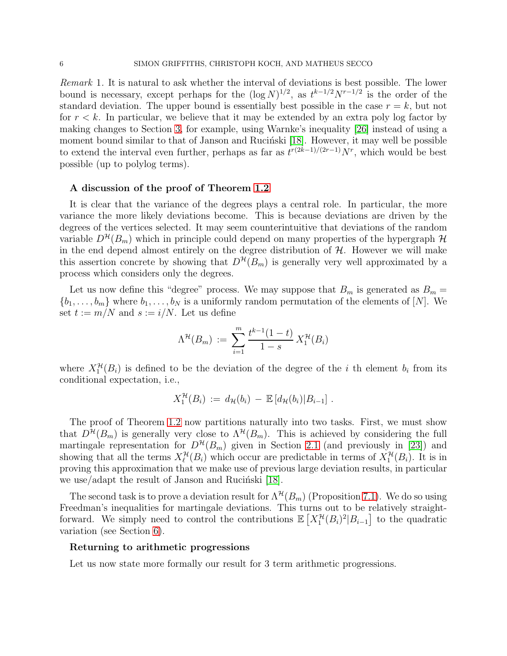Remark 1. It is natural to ask whether the interval of deviations is best possible. The lower bound is necessary, except perhaps for the  $(\log N)^{1/2}$ , as  $t^{k-1/2}N^{r-1/2}$  is the order of the standard deviation. The upper bound is essentially best possible in the case  $r = k$ , but not for  $r < k$ . In particular, we believe that it may be extended by an extra poly log factor by making changes to Section [3,](#page-9-0) for example, using Warnke's inequality [\[26\]](#page-31-3) instead of using a moment bound similar to that of Janson and Rucinski [\[18\]](#page-30-8). However, it may well be possible to extend the interval even further, perhaps as far as  $t^{r(2k-1)/(2r-1)}N^r$ , which would be best possible (up to polylog terms).

#### A discussion of the proof of Theorem [1.2](#page-4-1)

It is clear that the variance of the degrees plays a central role. In particular, the more variance the more likely deviations become. This is because deviations are driven by the degrees of the vertices selected. It may seem counterintuitive that deviations of the random variable  $D^{\mathcal{H}}(B_m)$  which in principle could depend on many properties of the hypergraph  $\mathcal{H}$ in the end depend almost entirely on the degree distribution of  $H$ . However we will make this assertion concrete by showing that  $D^{\mathcal{H}}(B_m)$  is generally very well approximated by a process which considers only the degrees.

Let us now define this "degree" process. We may suppose that  $B_m$  is generated as  $B_m =$  $\{b_1, \ldots, b_m\}$  where  $b_1, \ldots, b_N$  is a uniformly random permutation of the elements of [N]. We set  $t := m/N$  and  $s := i/N$ . Let us define

$$
\Lambda^{\mathcal{H}}(B_m) := \sum_{i=1}^{m} \frac{t^{k-1}(1-t)}{1-s} X_1^{\mathcal{H}}(B_i)
$$

where  $X_1^{\mathcal{H}}(B_i)$  is defined to be the deviation of the degree of the *i* th element  $b_i$  from its conditional expectation, i.e.,

$$
X_1^{\mathcal{H}}(B_i) := d_{\mathcal{H}}(b_i) - \mathbb{E}[d_{\mathcal{H}}(b_i)|B_{i-1}].
$$

The proof of Theorem [1.2](#page-4-1) now partitions naturally into two tasks. First, we must show that  $D^{\mathcal{H}}(B_m)$  is generally very close to  $\Lambda^{\mathcal{H}}(B_m)$ . This is achieved by considering the full martingale representation for  $D^{\mathcal{H}}(B_m)$  given in Section [2.1](#page-8-0) (and previously in [\[23\]](#page-31-4)) and showing that all the terms  $X_{\ell}^{\mathcal{H}}(B_i)$  which occur are predictable in terms of  $X_1^{\mathcal{H}}(B_i)$ . It is in proving this approximation that we make use of previous large deviation results, in particular we use/adapt the result of Janson and Rucinski  $[18]$ .

The second task is to prove a deviation result for  $\Lambda^{\mathcal{H}}(B_m)$  (Proposition [7.1\)](#page-22-0). We do so using Freedman's inequalities for martingale deviations. This turns out to be relatively straightforward. We simply need to control the contributions  $\mathbb{E}\left[X_1^{\mathcal{H}}(B_i)^2|B_{i-1}\right]$  to the quadratic variation (see Section [6\)](#page-19-0).

#### Returning to arithmetic progressions

Let us now state more formally our result for 3 term arithmetic progressions.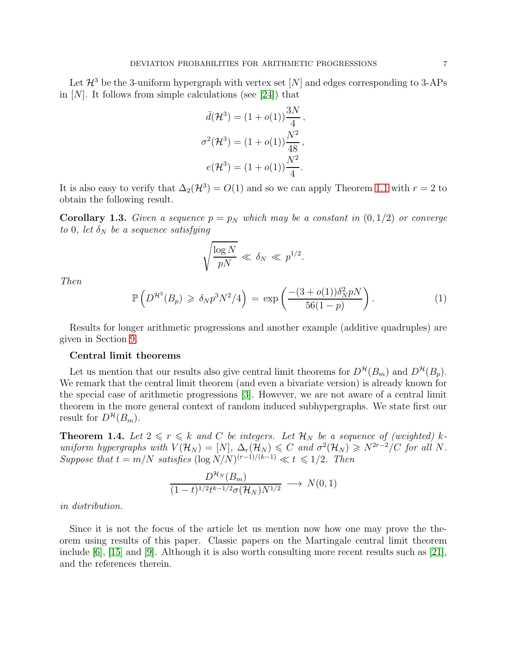Let  $\mathcal{H}^3$  be the 3-uniform hypergraph with vertex set  $[N]$  and edges corresponding to 3-APs in  $[N]$ . It follows from simple calculations (see [\[24\]](#page-31-5)) that

$$
\bar{d}(\mathcal{H}^3) = (1 + o(1))\frac{3N}{4},
$$
  

$$
\sigma^2(\mathcal{H}^3) = (1 + o(1))\frac{N^2}{48},
$$
  

$$
e(\mathcal{H}^3) = (1 + o(1))\frac{N^2}{4}.
$$

It is also easy to verify that  $\Delta_2(\mathcal{H}^3) = O(1)$  and so we can apply Theorem [1.1](#page-4-0) with  $r = 2$  to obtain the following result.

**Corollary 1.3.** Given a sequence  $p = p_N$  which may be a constant in  $(0, 1/2)$  or converge to 0, let  $\delta_N$  be a sequence satisfying

$$
\sqrt{\frac{\log N}{pN}} \ll \delta_N \ll p^{1/2}
$$

Then

$$
\mathbb{P}\left(D^{\mathcal{H}^3}(B_p) \geq \delta_N p^3 N^2/4\right) = \exp\left(\frac{-(3+o(1))\delta_N^2 pN}{56(1-p)}\right). \tag{1}
$$

.

Results for longer arithmetic progressions and another example (additive quadruples) are given in Section [9.](#page-27-0)

#### Central limit theorems

Let us mention that our results also give central limit theorems for  $D^{\mathcal{H}}(B_m)$  and  $D^{\mathcal{H}}(B_p)$ . We remark that the central limit theorem (and even a bivariate version) is already known for the special case of arithmetic progressions [\[3\]](#page-30-7). However, we are not aware of a central limit theorem in the more general context of random induced subhypergraphs. We state first our result for  $D^{\mathcal{H}}(B_m)$ .

<span id="page-6-0"></span>**Theorem 1.4.** Let  $2 \le r \le k$  and C be integers. Let  $\mathcal{H}_N$  be a sequence of (weighted) kuniform hypergraphs with  $V(\mathcal{H}_N) = [N], \Delta_r(\mathcal{H}_N) \leq C$  and  $\sigma^2(\mathcal{H}_N) \geq N^{2r-2}/C$  for all N. Suppose that  $t = m/N$  satisfies  $(\log N/N)^{(r-1)/(k-1)} \ll t \leq 1/2$ . Then

$$
\frac{D^{\mathcal{H}_N}(B_m)}{(1-t)^{1/2}t^{k-1/2}\sigma(\mathcal{H}_N)N^{1/2}} \longrightarrow N(0,1)
$$

in distribution.

Since it is not the focus of the article let us mention now how one may prove the theorem using results of this paper. Classic papers on the Martingale central limit theorem include [\[6\]](#page-30-11), [\[15\]](#page-30-12) and [\[9\]](#page-30-13). Although it is also worth consulting more recent results such as [\[21\]](#page-31-6), and the references therein.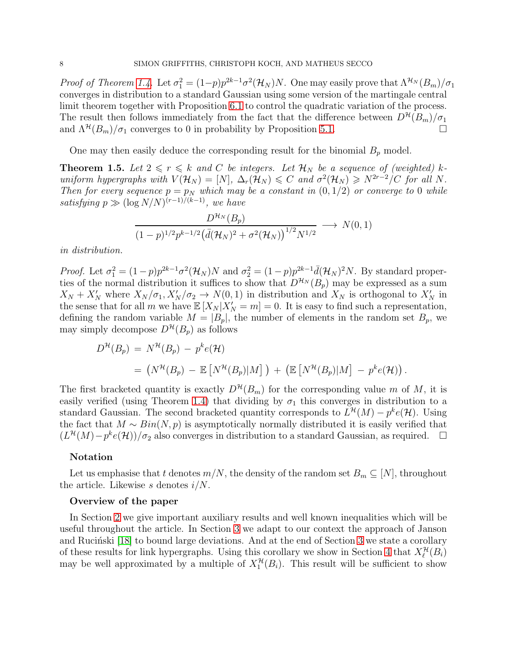*Proof of Theorem [1.4.](#page-6-0)* Let  $\sigma_1^2 = (1-p)p^{2k-1}\sigma^2(\mathcal{H}_N)N$ . One may easily prove that  $\Lambda^{\mathcal{H}_N}(B_m)/\sigma_1$ converges in distribution to a standard Gaussian using some version of the martingale central limit theorem together with Proposition [6.1](#page-19-1) to control the quadratic variation of the process. The result then follows immediately from the fact that the difference between  $D^{\mathcal{H}}(B_m)/\sigma_1$ and  $\Lambda^{\mathcal{H}}(B_m)/\sigma_1$  converges to 0 in probability by Proposition [5.1.](#page-16-0)

One may then easily deduce the corresponding result for the binomial  $B_p$  model.

**Theorem 1.5.** Let  $2 \le r \le k$  and C be integers. Let  $\mathcal{H}_N$  be a sequence of (weighted) kuniform hypergraphs with  $V(\mathcal{H}_N) = [N], \Delta_r(\mathcal{H}_N) \leq C$  and  $\sigma^2(\mathcal{H}_N) \geq N^{2r-2}/C$  for all N. Then for every sequence  $p = p_N$  which may be a constant in  $(0, 1/2)$  or converge to 0 while satisfying  $p \gg (\log N/N)^{(r-1)/(k-1)}$ , we have

$$
\frac{D^{\mathcal{H}_N}(B_p)}{(1-p)^{1/2}p^{k-1/2}(\bar{d}(\mathcal{H}_N)^2+\sigma^2(\mathcal{H}_N))^{1/2}N^{1/2}} \longrightarrow N(0,1)
$$

in distribution.

Proof. Let  $\sigma_1^2 = (1-p)p^{2k-1}\sigma^2(\mathcal{H}_N)N$  and  $\sigma_2^2 = (1-p)p^{2k-1}\bar{d}(\mathcal{H}_N)^2N$ . By standard properties of the normal distribution it suffices to show that  $D^{\mathcal{H}_N}(B_p)$  may be expressed as a sum  $X_N + X'_N$  where  $X_N/\sigma_1, X'_N/\sigma_2 \to N(0, 1)$  in distribution and  $X_N$  is orthogonal to  $X'_N$  in the sense that for all m we have  $\mathbb{E}[X_N | X'_N = m] = 0$ . It is easy to find such a representation, defining the random variable  $M = |B_p|$ , the number of elements in the random set  $B_p$ , we may simply decompose  $D^{\mathcal{H}}(B_p)$  as follows

$$
D^{\mathcal{H}}(B_p) = N^{\mathcal{H}}(B_p) - p^k e(\mathcal{H})
$$
  
=  $(N^{\mathcal{H}}(B_p) - \mathbb{E}[N^{\mathcal{H}}(B_p)|M] + (\mathbb{E}[N^{\mathcal{H}}(B_p)|M] - p^k e(\mathcal{H})).$ 

The first bracketed quantity is exactly  $D^{\mathcal{H}}(B_m)$  for the corresponding value m of M, it is easily verified (using Theorem [1.4\)](#page-6-0) that dividing by  $\sigma_1$  this converges in distribution to a standard Gaussian. The second bracketed quantity corresponds to  $L^{\mathcal{H}}(M) - p^k e(\mathcal{H})$ . Using the fact that  $M \sim Bin(N, p)$  is asymptotically normally distributed it is easily verified that  $(L^{\mathcal{H}}(M)-p^ke(\mathcal{H}))/\sigma_2$  also converges in distribution to a standard Gaussian, as required.  $\Box$ 

#### Notation

Let us emphasise that t denotes  $m/N$ , the density of the random set  $B_m \subseteq [N]$ , throughout the article. Likewise s denotes  $i/N$ .

### Overview of the paper

In Section [2](#page-8-1) we give important auxiliary results and well known inequalities which will be useful throughout the article. In Section [3](#page-9-0) we adapt to our context the approach of Janson and Rucinski  $|18|$  to bound large deviations. And at the end of Section [3](#page-9-0) we state a corollary of these results for link hypergraphs. Using this corollary we show in Section [4](#page-14-0) that  $X_{\ell}^{\mathcal{H}}(B_i)$ may be well approximated by a multiple of  $X_1^{\mathcal{H}}(B_i)$ . This result will be sufficient to show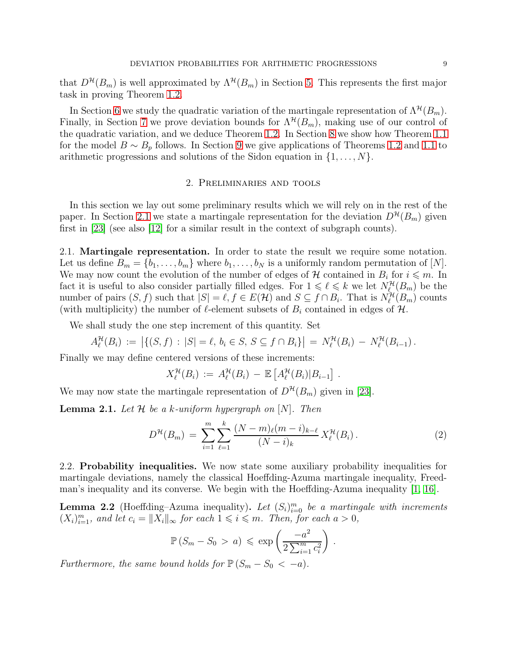that  $D^{\mathcal{H}}(B_m)$  is well approximated by  $\Lambda^{\mathcal{H}}(B_m)$  in Section [5.](#page-16-1) This represents the first major task in proving Theorem [1.2.](#page-4-1)

In Section [6](#page-19-0) we study the quadratic variation of the martingale representation of  $\Lambda^{\mathcal{H}}(B_m)$ . Finally, in Section [7](#page-22-1) we prove deviation bounds for  $\Lambda^{\mathcal{H}}(B_m)$ , making use of our control of the quadratic variation, and we deduce Theorem [1.2.](#page-4-1) In Section [8](#page-24-0) we show how Theorem [1.1](#page-4-0) for the model  $B \sim B_p$  follows. In Section [9](#page-27-0) we give applications of Theorems [1.2](#page-4-1) and [1.1](#page-4-0) to arithmetic progressions and solutions of the Sidon equation in  $\{1, \ldots, N\}$ .

### 2. Preliminaries and tools

<span id="page-8-1"></span>In this section we lay out some preliminary results which we will rely on in the rest of the paper. In Section [2.1](#page-8-0) we state a martingale representation for the deviation  $D^{\mathcal{H}}(B_m)$  given first in [\[23\]](#page-31-4) (see also [\[12\]](#page-30-14) for a similar result in the context of subgraph counts).

<span id="page-8-0"></span>2.1. Martingale representation. In order to state the result we require some notation. Let us define  $B_m = \{b_1, \ldots, b_m\}$  where  $b_1, \ldots, b_N$  is a uniformly random permutation of [N]. We may now count the evolution of the number of edges of  $\mathcal H$  contained in  $B_i$  for  $i \leq m$ . In fact it is useful to also consider partially filled edges. For  $1 \leq \ell \leq k$  we let  $N^{\mathcal{H}}_{\ell}(B_m)$  be the number of pairs  $(S, f)$  such that  $|S| = \ell, f \in E(\mathcal{H})$  and  $S \subseteq f \cap B_i$ . That is  $N_{\ell}^{\mathcal{H}}(B_m)$  counts (with multiplicity) the number of  $\ell$ -element subsets of  $B_i$  contained in edges of  $\mathcal{H}$ .

We shall study the one step increment of this quantity. Set

$$
A_{\ell}^{\mathcal{H}}(B_i) := \left| \{ (S, f) : |S| = \ell, \, b_i \in S, \, S \subseteq f \cap B_i \} \right| = N_{\ell}^{\mathcal{H}}(B_i) - N_{\ell}^{\mathcal{H}}(B_{i-1}).
$$

Finally we may define centered versions of these increments:

$$
X_{\ell}^{\mathcal{H}}(B_i) := A_{\ell}^{\mathcal{H}}(B_i) - \mathbb{E}\left[A_{\ell}^{\mathcal{H}}(B_i)|B_{i-1}\right].
$$

We may now state the martingale representation of  $D^{\mathcal{H}}(B_m)$  given in [\[23\]](#page-31-4).

**Lemma 2.1.** Let  $\mathcal{H}$  be a k-uniform hypergraph on  $[N]$ . Then

$$
D^{\mathcal{H}}(B_m) = \sum_{i=1}^{m} \sum_{\ell=1}^{k} \frac{(N-m)_{\ell}(m-i)_{k-\ell}}{(N-i)_{k}} X_{\ell}^{\mathcal{H}}(B_i).
$$
 (2)

2.2. Probability inequalities. We now state some auxiliary probability inequalities for martingale deviations, namely the classical Hoeffding-Azuma martingale inequality, Freedman's inequality and its converse. We begin with the Hoeffding-Azuma inequality [\[1,](#page-30-15) [16\]](#page-30-16).

<span id="page-8-2"></span>**Lemma 2.2** (Hoeffding–Azuma inequality). Let  $(S_i)_{i=0}^m$  be a martingale with increments  $(X_i)_{i=1}^m$ , and let  $c_i = ||X_i||_{\infty}$  for each  $1 \leq i \leq m$ . Then, for each  $a > 0$ ,

$$
\mathbb{P}\left(S_m - S_0 > a\right) \leqslant \exp\left(\frac{-a^2}{2\sum_{i=1}^m c_i^2}\right).
$$

Furthermore, the same bound holds for  $\mathbb{P}(S_m - S_0 < -a)$ .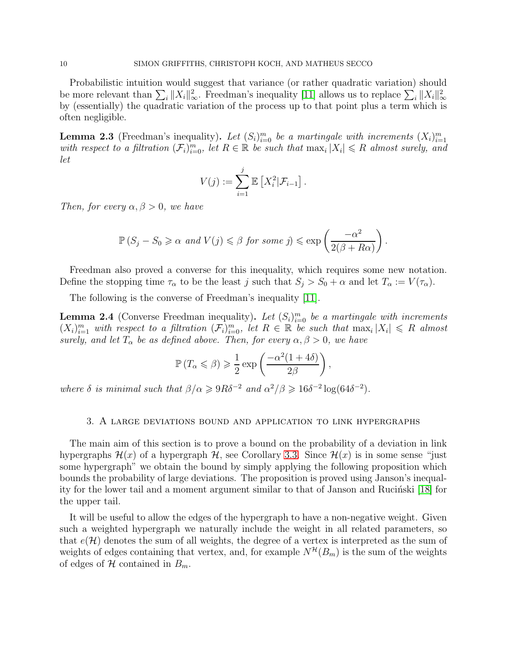Probabilistic intuition would suggest that variance (or rather quadratic variation) should be more relevant than  $\sum_i ||X_i||_{\infty}^2$ . Freedman's inequality [\[11\]](#page-30-17) allows us to replace  $\sum_i ||X_i||_{\infty}^2$ by (essentially) the quadratic variation of the process up to that point plus a term which is often negligible.

<span id="page-9-1"></span>**Lemma 2.3** (Freedman's inequality). Let  $(S_i)_{i=0}^m$  be a martingale with increments  $(X_i)_{i=1}^m$ with respect to a filtration  $(\mathcal{F}_i)_{i=0}^m$ , let  $R \in \mathbb{R}$  be such that  $\max_i |X_i| \leq R$  almost surely, and let

$$
V(j) := \sum_{i=1}^{j} \mathbb{E}\left[X_i^2 | \mathcal{F}_{i-1}\right]
$$

.

Then, for every  $\alpha, \beta > 0$ , we have

$$
\mathbb{P}\left(S_j - S_0 \geq \alpha \text{ and } V(j) \leq \beta \text{ for some } j\right) \leq \exp\left(\frac{-\alpha^2}{2(\beta + R\alpha)}\right).
$$

Freedman also proved a converse for this inequality, which requires some new notation. Define the stopping time  $\tau_{\alpha}$  to be the least j such that  $S_j > S_0 + \alpha$  and let  $T_{\alpha} := V(\tau_{\alpha})$ .

The following is the converse of Freedman's inequality [\[11\]](#page-30-17).

<span id="page-9-2"></span>**Lemma 2.4** (Converse Freedman inequality). Let  $(S_i)_{i=0}^m$  be a martingale with increments  $(X_i)_{i=1}^m$  with respect to a filtration  $(\mathcal{F}_i)_{i=0}^m$ , let  $R \in \mathbb{R}$  be such that  $\max_i |X_i| \leq R$  almost surely, and let  $T_{\alpha}$  be as defined above. Then, for every  $\alpha, \beta > 0$ , we have

$$
\mathbb{P}\left(T_{\alpha} \leqslant \beta\right) \geqslant \frac{1}{2} \exp\left(\frac{-\alpha^2 (1+4\delta)}{2\beta}\right),\,
$$

<span id="page-9-0"></span>where  $\delta$  is minimal such that  $\beta/\alpha \geqslant 9R\delta^{-2}$  and  $\alpha^2/\beta \geqslant 16\delta^{-2}\log(64\delta^{-2})$ .

#### 3. A large deviations bound and application to link hypergraphs

The main aim of this section is to prove a bound on the probability of a deviation in link hypergraphs  $\mathcal{H}(x)$  of a hypergraph  $\mathcal{H}$ , see Corollary [3.3.](#page-13-0) Since  $\mathcal{H}(x)$  is in some sense "just some hypergraph" we obtain the bound by simply applying the following proposition which bounds the probability of large deviations. The proposition is proved using Janson's inequality for the lower tail and a moment argument similar to that of Janson and Rucinski  $[18]$  for the upper tail.

It will be useful to allow the edges of the hypergraph to have a non-negative weight. Given such a weighted hypergraph we naturally include the weight in all related parameters, so that  $e(\mathcal{H})$  denotes the sum of all weights, the degree of a vertex is interpreted as the sum of weights of edges containing that vertex, and, for example  $N^{\mathcal{H}}(B_m)$  is the sum of the weights of edges of H contained in  $B_m$ .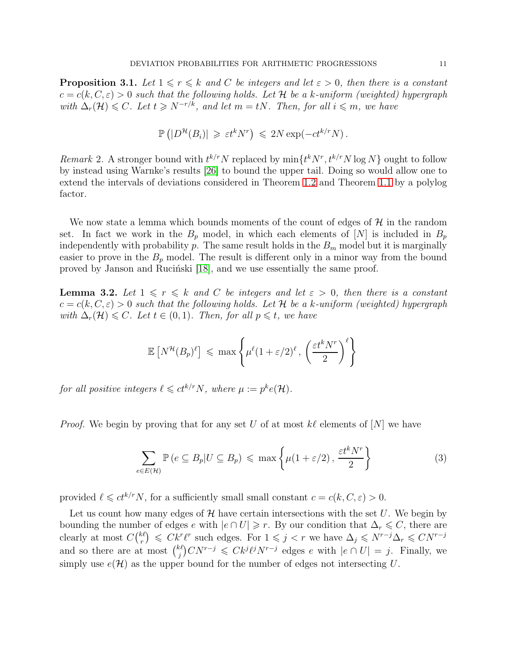<span id="page-10-1"></span>**Proposition 3.1.** Let  $1 \le r \le k$  and C be integers and let  $\varepsilon > 0$ , then there is a constant  $c = c(k, C, \varepsilon) > 0$  such that the following holds. Let H be a k-uniform (weighted) hypergraph with  $\Delta_r(\mathcal{H}) \leq C$ . Let  $t \geq N^{-r/k}$ , and let  $m = tN$ . Then, for all  $i \leq m$ , we have

$$
\mathbb{P}\left(|D^{\mathcal{H}}(B_i)| \geq \varepsilon t^k N^r\right) \leq 2N \exp(-ct^{k/r} N).
$$

Remark 2. A stronger bound with  $t^{k/r}N$  replaced by  $\min\{t^kN^r, t^{k/r}N\log N\}$  ought to follow by instead using Warnke's results [\[26\]](#page-31-3) to bound the upper tail. Doing so would allow one to extend the intervals of deviations considered in Theorem [1.2](#page-4-1) and Theorem [1.1](#page-4-0) by a polylog factor.

We now state a lemma which bounds moments of the count of edges of  $\mathcal{H}$  in the random set. In fact we work in the  $B_p$  model, in which each elements of  $[N]$  is included in  $B_p$ independently with probability  $p$ . The same result holds in the  $B<sub>m</sub>$  model but it is marginally easier to prove in the  $B_p$  model. The result is different only in a minor way from the bound proved by Janson and Rucinski [\[18\]](#page-30-8), and we use essentially the same proof.

<span id="page-10-2"></span>**Lemma 3.2.** Let  $1 \leq r \leq k$  and C be integers and let  $\varepsilon > 0$ , then there is a constant  $c = c(k, C, \varepsilon) > 0$  such that the following holds. Let H be a k-uniform (weighted) hypergraph with  $\Delta_r(\mathcal{H}) \leq C$ . Let  $t \in (0,1)$ . Then, for all  $p \leq t$ , we have

$$
\mathbb{E}\left[N^{\mathcal{H}}(B_p)^{\ell}\right] \leqslant \max\left\{\mu^{\ell}(1+\varepsilon/2)^{\ell}, \left(\frac{\varepsilon t^k N^r}{2}\right)^{\ell}\right\}
$$

for all positive integers  $\ell \leqslant ct^{k/r}N$ , where  $\mu := p^k e(\mathcal{H})$ .

*Proof.* We begin by proving that for any set U of at most k $\ell$  elements of  $[N]$  we have

<span id="page-10-0"></span>
$$
\sum_{e \in E(\mathcal{H})} \mathbb{P}\left(e \subseteq B_p | U \subseteq B_p\right) \leq \max\left\{\mu(1+\varepsilon/2), \frac{\varepsilon t^k N^r}{2}\right\} \tag{3}
$$

provided  $\ell \leq c t^{k/r} N$ , for a sufficiently small small constant  $c = c(k, C, \varepsilon) > 0$ .

Let us count how many edges of  $\mathcal H$  have certain intersections with the set U. We begin by bounding the number of edges e with  $|e \cap U| \geq r$ . By our condition that  $\Delta_r \leq C$ , there are clearly at most  $C\binom{ k\ell}{r}$  $\mathcal{L}^{k}(r) \leq C k^r \ell^r$  such edges. For  $1 \leqslant j < r$  we have  $\Delta_j \leqslant N^{r-j} \Delta_r \leqslant C N^{r-j}$ and so there are at most  $\binom{k\ell}{i}$ <sup>ke</sup>)CN<sup>r−j</sup> ≤ Ck<sup>j</sup>l<sup>j</sup>N<sup>r−j</sup> edges e with  $|e \cap U| = j$ . Finally, we simply use  $e(\mathcal{H})$  as the upper bound for the number of edges not intersecting U.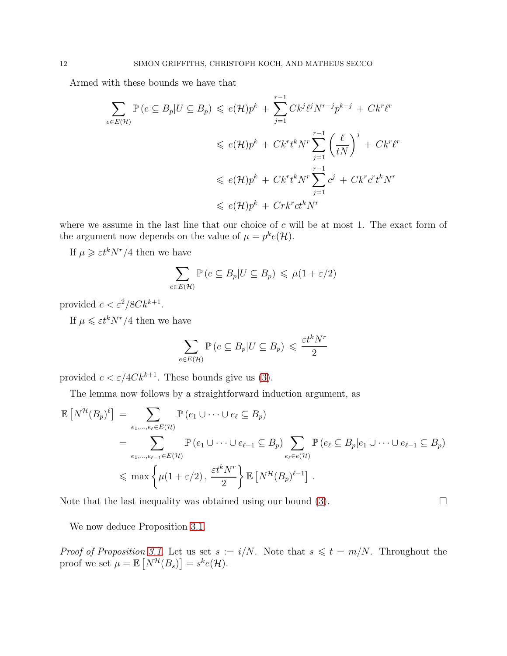Armed with these bounds we have that

$$
\sum_{e \in E(\mathcal{H})} \mathbb{P}\left(e \subseteq B_p | U \subseteq B_p\right) \leqslant e(\mathcal{H})p^k + \sum_{j=1}^{r-1} Ck^j \ell^j N^{r-j} p^{k-j} + Ck^r \ell^r
$$
\n
$$
\leqslant e(\mathcal{H})p^k + Ck^r t^k N^r \sum_{j=1}^{r-1} \left(\frac{\ell}{tN}\right)^j + Ck^r \ell^r
$$
\n
$$
\leqslant e(\mathcal{H})p^k + Ck^r t^k N^r \sum_{j=1}^{r-1} c^j + Ck^r c^r t^k N^r
$$
\n
$$
\leqslant e(\mathcal{H})p^k + Cr k^r c t^k N^r
$$

where we assume in the last line that our choice of  $c$  will be at most 1. The exact form of the argument now depends on the value of  $\mu = p^k e(\mathcal{H})$ .

If  $\mu \geqslant \varepsilon t^k N^r/4$  then we have

$$
\sum_{e \in E(\mathcal{H})} \mathbb{P}\left(e \subseteq B_p | U \subseteq B_p\right) \leq \mu(1 + \varepsilon/2)
$$

provided  $c < \varepsilon^2/8Ck^{k+1}$ .

If  $\mu \leqslant \varepsilon t^k N^r/4$  then we have

$$
\sum_{e \in E(\mathcal{H})} \mathbb{P}\left(e \subseteq B_p | U \subseteq B_p\right) \leq \frac{\varepsilon t^k N^r}{2}
$$

provided  $c < \varepsilon/4Ck^{k+1}$ . These bounds give us [\(3\)](#page-10-0).

The lemma now follows by a straightforward induction argument, as

$$
\mathbb{E}\left[N^{\mathcal{H}}(B_{p})^{\ell}\right] = \sum_{e_{1},\dots,e_{\ell} \in E(\mathcal{H})} \mathbb{P}\left(e_{1} \cup \dots \cup e_{\ell} \subseteq B_{p}\right)
$$
\n
$$
= \sum_{e_{1},\dots,e_{\ell-1} \in E(\mathcal{H})} \mathbb{P}\left(e_{1} \cup \dots \cup e_{\ell-1} \subseteq B_{p}\right) \sum_{e_{\ell} \in e(\mathcal{H})} \mathbb{P}\left(e_{\ell} \subseteq B_{p} | e_{1} \cup \dots \cup e_{\ell-1} \subseteq B_{p}\right)
$$
\n
$$
\leq \max\left\{\mu(1+\varepsilon/2), \frac{\varepsilon t^{k} N^{r}}{2}\right\} \mathbb{E}\left[N^{\mathcal{H}}(B_{p})^{\ell-1}\right].
$$

Note that the last inequality was obtained using our bound  $(3)$ .

We now deduce Proposition [3.1.](#page-10-1)

*Proof of Proposition [3.1.](#page-10-1)* Let us set  $s := i/N$ . Note that  $s \leq t = m/N$ . Throughout the proof we set  $\mu = \mathbb{E}\left[N^{\mathcal{H}}(B_s)\right] = s^k e(\mathcal{H}).$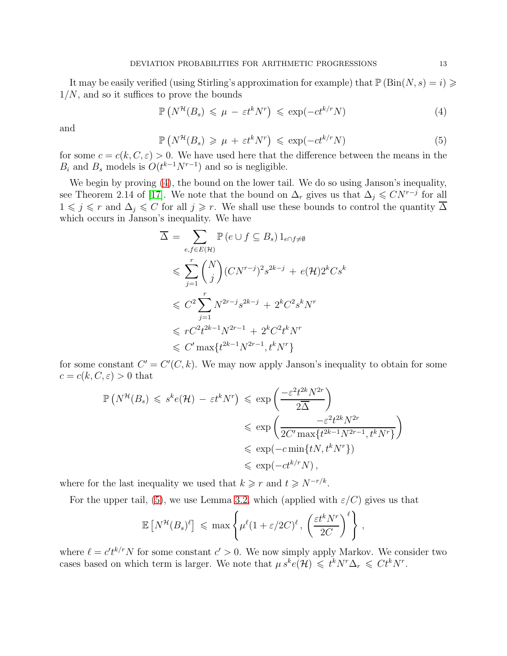It may be easily verified (using Stirling's approximation for example) that  $\mathbb{P}(\text{Bin}(N, s) = i) \geq$  $1/N$ , and so it suffices to prove the bounds

<span id="page-12-0"></span>
$$
\mathbb{P}\left(N^{\mathcal{H}}(B_s) \leq \mu - \varepsilon t^k N^r\right) \leq \exp(-ct^{k/r} N) \tag{4}
$$

and

<span id="page-12-1"></span>
$$
\mathbb{P}\left(N^{\mathcal{H}}(B_s) \geq \mu + \varepsilon t^k N^r\right) \leqslant \exp(-ct^{k/r} N) \tag{5}
$$

for some  $c = c(k, C, \varepsilon) > 0$ . We have used here that the difference between the means in the  $B_i$  and  $B_s$  models is  $O(t^{k-1}N^{r-1})$  and so is negligible.

We begin by proving [\(4\)](#page-12-0), the bound on the lower tail. We do so using Janson's inequality, see Theorem 2.14 of [\[17\]](#page-30-5). We note that the bound on  $\Delta_r$  gives us that  $\Delta_j \leqslant CN^{r-j}$  for all  $1 \leq j \leq r$  and  $\Delta_j \leq C$  for all  $j \geq r$ . We shall use these bounds to control the quantity  $\overline{\Delta}$ which occurs in Janson's inequality. We have

$$
\overline{\Delta} = \sum_{e,f \in E(\mathcal{H})} \mathbb{P}(e \cup f \subseteq B_s) 1_{e \cap f \neq \emptyset}
$$
  
\n
$$
\leq \sum_{j=1}^r {N \choose j} (CN^{r-j})^2 s^{2k-j} + e(\mathcal{H}) 2^k C s^k
$$
  
\n
$$
\leq C^2 \sum_{j=1}^r N^{2r-j} s^{2k-j} + 2^k C^2 s^k N^r
$$
  
\n
$$
\leq r C^2 t^{2k-1} N^{2r-1} + 2^k C^2 t^k N^r
$$
  
\n
$$
\leq C' \max \{ t^{2k-1} N^{2r-1}, t^k N^r \}
$$

for some constant  $C' = C'(C, k)$ . We may now apply Janson's inequality to obtain for some  $c = c(k, C, \varepsilon) > 0$  that

$$
\mathbb{P}\left(N^{\mathcal{H}}(B_s) \leqslant s^k e(\mathcal{H}) - \varepsilon t^k N^r\right) \leqslant \exp\left(\frac{-\varepsilon^2 t^{2k} N^{2r}}{2\overline{\Delta}}\right)
$$
  

$$
\leqslant \exp\left(\frac{-\varepsilon^2 t^{2k} N^{2r}}{2C' \max\{t^{2k-1} N^{2r-1}, t^k N^r\}}\right)
$$
  

$$
\leqslant \exp(-c \min\{t N, t^k N^r\})
$$
  

$$
\leqslant \exp(-ct^{k/r} N),
$$

where for the last inequality we used that  $k \geq r$  and  $t \geq N^{-r/k}$ .

For the upper tail, [\(5\)](#page-12-1), we use Lemma [3.2,](#page-10-2) which (applied with  $\varepsilon/C$ ) gives us that

$$
\mathbb{E}\left[N^{\mathcal{H}}(B_s)^{\ell}\right] \leqslant \max\left\{\mu^{\ell}(1+\varepsilon/2C)^{\ell}, \left(\frac{\varepsilon t^k N^r}{2C}\right)^{\ell}\right\},\,
$$

where  $\ell = c' t^{k/r} N$  for some constant  $c' > 0$ . We now simply apply Markov. We consider two cases based on which term is larger. We note that  $\mu s^k e(\mathcal{H}) \leq t^k N^r \Delta_r \leq Ct^k N^r$ .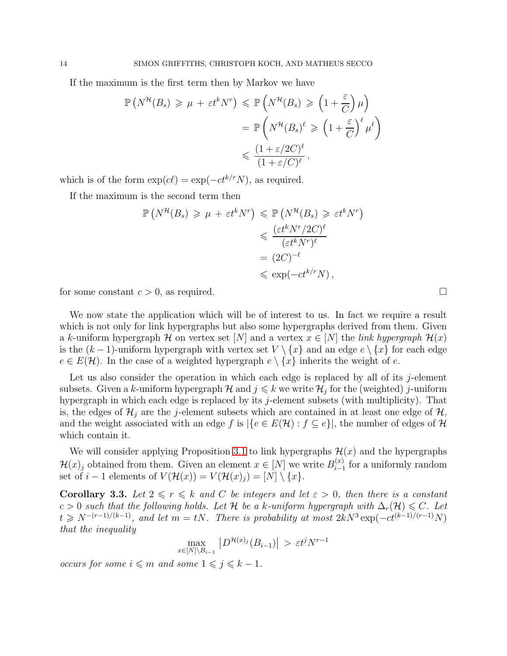If the maximum is the first term then by Markov we have

$$
\mathbb{P}\left(N^{\mathcal{H}}(B_s) \geq \mu + \varepsilon t^k N^r\right) \leq \mathbb{P}\left(N^{\mathcal{H}}(B_s) \geq \left(1 + \frac{\varepsilon}{C}\right)\mu\right)
$$

$$
= \mathbb{P}\left(N^{\mathcal{H}}(B_s)^{\ell} \geq \left(1 + \frac{\varepsilon}{C}\right)^{\ell}\mu^{\ell}\right)
$$

$$
\leq \frac{(1 + \varepsilon/2C)^{\ell}}{(1 + \varepsilon/C)^{\ell}},
$$

which is of the form  $\exp(c\ell) = \exp(-ct^{k/r}N)$ , as required.

If the maximum is the second term then

$$
\mathbb{P}\left(N^{\mathcal{H}}(B_s) \geq \mu + \varepsilon t^k N^r\right) \leq \mathbb{P}\left(N^{\mathcal{H}}(B_s) \geq \varepsilon t^k N^r\right)
$$
  

$$
\leq \frac{(\varepsilon t^k N^r / 2C)^{\ell}}{(\varepsilon t^k N^r)^{\ell}}
$$
  

$$
= (2C)^{-\ell}
$$
  

$$
\leq \exp(-ct^{k/r} N),
$$

for some constant  $c > 0$ , as required.

We now state the application which will be of interest to us. In fact we require a result which is not only for link hypergraphs but also some hypergraphs derived from them. Given a k-uniform hypergraph H on vertex set [N] and a vertex  $x \in [N]$  the link hypergraph  $\mathcal{H}(x)$ is the  $(k-1)$ -uniform hypergraph with vertex set  $V \setminus \{x\}$  and an edge  $e \setminus \{x\}$  for each edge  $e \in E(\mathcal{H})$ . In the case of a weighted hypergraph  $e \setminus \{x\}$  inherits the weight of e.

Let us also consider the operation in which each edge is replaced by all of its  $j$ -element subsets. Given a k-uniform hypergraph  $\mathcal{H}$  and  $j \leq k$  we write  $\mathcal{H}_j$  for the (weighted) j-uniform hypergraph in which each edge is replaced by its  $j$ -element subsets (with multiplicity). That is, the edges of  $\mathcal{H}_i$  are the j-element subsets which are contained in at least one edge of  $\mathcal{H}_i$ , and the weight associated with an edge f is  $|\{e \in E(\mathcal{H}) : f \subseteq e\}|$ , the number of edges of H which contain it.

We will consider applying Proposition [3.1](#page-10-1) to link hypergraphs  $\mathcal{H}(x)$  and the hypergraphs  $\mathcal{H}(x)$  obtained from them. Given an element  $x \in [N]$  we write  $B_{i-1}^{(x)}$  $i_{i-1}^{(x)}$  for a uniformly random set of  $i-1$  elements of  $V(\mathcal{H}(x)) = V(\mathcal{H}(x)_j) = [N] \setminus \{x\}.$ 

<span id="page-13-0"></span>**Corollary 3.3.** Let  $2 \le r \le k$  and C be integers and let  $\varepsilon > 0$ , then there is a constant c > 0 such that the following holds. Let H be a k-uniform hypergraph with  $\Delta_r(\mathcal{H}) \leq C$ . Let  $t \ge N^{-(r-1)/(k-1)}$ , and let  $m = tN$ . There is probability at most  $2kN^3 \exp(-ct^{(k-1)/(r-1)}N)$ that the inequality

$$
\max_{x \in [N] \setminus B_{i-1}} |D^{\mathcal{H}(x)_j}(B_{i-1})| > \varepsilon t^j N^{r-1}
$$

*occurs for some*  $i \n≤ m$  *and some*  $1 \n≤ j ≤ k - 1$ .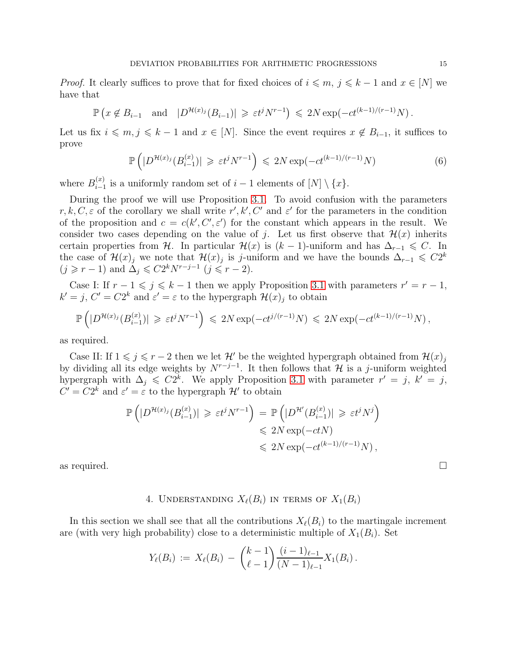*Proof.* It clearly suffices to prove that for fixed choices of  $i \leq m, j \leq k - 1$  and  $x \in [N]$  we have that

$$
\mathbb{P}\left(x \notin B_{i-1} \quad \text{and} \quad |D^{\mathcal{H}(x)_j}(B_{i-1})| \geq \varepsilon t^j N^{r-1}\right) \leq 2N \exp(-ct^{(k-1)/(r-1)}N).
$$

Let us fix  $i \leq m, j \leq k - 1$  and  $x \in [N]$ . Since the event requires  $x \notin B_{i-1}$ , it suffices to prove

$$
\mathbb{P}\left(|D^{\mathcal{H}(x)_j}(B_{i-1}^{(x)})| \geqslant \varepsilon t^j N^{r-1}\right) \leqslant 2N \exp(-ct^{(k-1)/(r-1)}N) \tag{6}
$$

where  $B_{i-1}^{(x)}$  $\sum_{i=1}^{(x)}$  is a uniformly random set of  $i-1$  elements of  $[N] \setminus \{x\}.$ 

During the proof we will use Proposition [3.1.](#page-10-1) To avoid confusion with the parameters r, k, C,  $\varepsilon$  of the corollary we shall write r', k', C' and  $\varepsilon'$  for the parameters in the condition of the proposition and  $c = c(k', C', \varepsilon')$  for the constant which appears in the result. We consider two cases depending on the value of j. Let us first observe that  $\mathcal{H}(x)$  inherits certain properties from H. In particular  $\mathcal{H}(x)$  is  $(k-1)$ -uniform and has  $\Delta_{r-1} \leq C$ . In the case of  $\mathcal{H}(x)$  we note that  $\mathcal{H}(x)$  is j-uniform and we have the bounds  $\Delta_{r-1} \leqslant C2^k$  $(j \geq r-1)$  and  $\Delta_j \leqslant C2^k N^{r-j-1}$   $(j \leqslant r-2)$ .

Case I: If  $r - 1 \leq j \leq k - 1$  then we apply Proposition [3.1](#page-10-1) with parameters  $r' = r - 1$ ,  $k' = j$ ,  $C' = C2^k$  and  $\varepsilon' = \varepsilon$  to the hypergraph  $\mathcal{H}(x)_j$  to obtain

$$
\mathbb{P}\left(|D^{\mathcal{H}(x)_j}(B_{i-1}^{(x)})|\geqslant \varepsilon t^jN^{r-1}\right)\leqslant 2N\exp(-ct^{j/(r-1)}N)\leqslant 2N\exp(-ct^{(k-1)/(r-1)}N)\,,
$$

as required.

Case II: If  $1 \leq j \leq r - 2$  then we let H' be the weighted hypergraph obtained from  $\mathcal{H}(x)$ by dividing all its edge weights by  $N^{r-j-1}$ . It then follows that H is a j-uniform weighted hypergraph with  $\Delta_j \leqslant C2^k$ . We apply Proposition [3.1](#page-10-1) with parameter  $r' = j$ ,  $k' = j$ ,  $C' = C2^k$  and  $\varepsilon' = \varepsilon$  to the hypergraph  $\mathcal{H}'$  to obtain

$$
\mathbb{P}\left(|D^{\mathcal{H}(x)_j}(B_{i-1}^{(x)})| \geqslant \varepsilon t^j N^{r-1}\right) = \mathbb{P}\left(|D^{\mathcal{H}'}(B_{i-1}^{(x)})| \geqslant \varepsilon t^j N^j\right)
$$
  
\$\leqslant 2N \exp(-ctN)\$  
\$\leqslant 2N \exp(-ct^{(k-1)/(r-1)}N)\$,

<span id="page-14-0"></span>

# 4. UNDERSTANDING  $X_{\ell}(B_i)$  in terms of  $X_1(B_i)$

In this section we shall see that all the contributions  $X_{\ell}(B_i)$  to the martingale increment are (with very high probability) close to a deterministic multiple of  $X_1(B_i)$ . Set

$$
Y_{\ell}(B_i) := X_{\ell}(B_i) - {k-1 \choose \ell-1} \frac{(i-1)_{\ell-1}}{(N-1)_{\ell-1}} X_1(B_i).
$$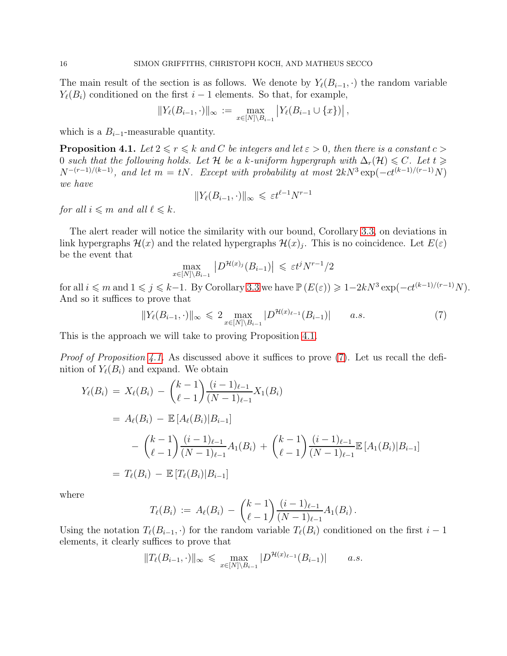The main result of the section is as follows. We denote by  $Y_{\ell}(B_{i-1},\cdot)$  the random variable  $Y_{\ell}(B_i)$  conditioned on the first  $i-1$  elements. So that, for example,

$$
||Y_{\ell}(B_{i-1},\cdot)||_{\infty} := \max_{x \in [N] \backslash B_{i-1}} |Y_{\ell}(B_{i-1} \cup \{x\})|,
$$

which is a  $B_{i-1}$ -measurable quantity.

<span id="page-15-0"></span>**Proposition 4.1.** Let  $2 \le r \le k$  and C be integers and let  $\varepsilon > 0$ , then there is a constant  $c > 0$ 0 such that the following holds. Let H be a k-uniform hypergraph with  $\Delta_r(\mathcal{H}) \leq C$ . Let  $t \geq$  $N^{-(r-1)/(k-1)}$ , and let  $m = tN$ . Except with probability at most  $2kN^3 \exp(-ct^{(k-1)/(r-1)}N)$ we have

$$
||Y_{\ell}(B_{i-1}, \cdot)||_{\infty} \leq \varepsilon t^{\ell-1} N^{r-1}
$$

for all  $i \leq m$  and all  $\ell \leq k$ .

The alert reader will notice the similarity with our bound, Corollary [3.3,](#page-13-0) on deviations in link hypergraphs  $\mathcal{H}(x)$  and the related hypergraphs  $\mathcal{H}(x)_j$ . This is no coincidence. Let  $E(\varepsilon)$ be the event that

$$
\max_{x \in [N] \setminus B_{i-1}} |D^{\mathcal{H}(x)_j}(B_{i-1})| \leq \varepsilon t^j N^{r-1}/2
$$

for all  $i \leq m$  and  $1 \leq j \leq k-1$ . By Corollary [3.3](#page-13-0) we have  $\mathbb{P}(E(\varepsilon)) \geq 1-2kN^3 \exp(-ct^{(k-1)/(r-1)}N)$ . And so it suffices to prove that

<span id="page-15-1"></span>
$$
||Y_{\ell}(B_{i-1}, \cdot)||_{\infty} \leq 2 \max_{x \in [N] \setminus B_{i-1}} |D^{\mathcal{H}(x)_{\ell-1}}(B_{i-1})| \qquad a.s. \tag{7}
$$

This is the approach we will take to proving Proposition [4.1.](#page-15-0)

*Proof of Proposition [4.1.](#page-15-0)* As discussed above it suffices to prove [\(7\)](#page-15-1). Let us recall the definition of  $Y_{\ell}(B_i)$  and expand. We obtain

$$
Y_{\ell}(B_i) = X_{\ell}(B_i) - {k-1 \choose \ell-1} \frac{(i-1)_{\ell-1}}{(N-1)_{\ell-1}} X_1(B_i)
$$
  
=  $A_{\ell}(B_i) - \mathbb{E}[A_{\ell}(B_i)|B_{i-1}]$   

$$
- {k-1 \choose \ell-1} \frac{(i-1)_{\ell-1}}{(N-1)_{\ell-1}} A_1(B_i) + {k-1 \choose \ell-1} \frac{(i-1)_{\ell-1}}{(N-1)_{\ell-1}} \mathbb{E}[A_1(B_i)|B_{i-1}]
$$
  
=  $T_{\ell}(B_i) - \mathbb{E}[T_{\ell}(B_i)|B_{i-1}]$ 

where

$$
T_{\ell}(B_i) := A_{\ell}(B_i) - {k-1 \choose \ell-1} \frac{(i-1)_{\ell-1}}{(N-1)_{\ell-1}} A_1(B_i).
$$

Using the notation  $T_{\ell}(B_{i-1},\cdot)$  for the random variable  $T_{\ell}(B_i)$  conditioned on the first  $i-1$ elements, it clearly suffices to prove that

$$
||T_{\ell}(B_{i-1},\cdot)||_{\infty} \leqslant \max_{x\in[N]\setminus B_{i-1}} |D^{\mathcal{H}(x)_{\ell-1}}(B_{i-1})| \qquad a.s.
$$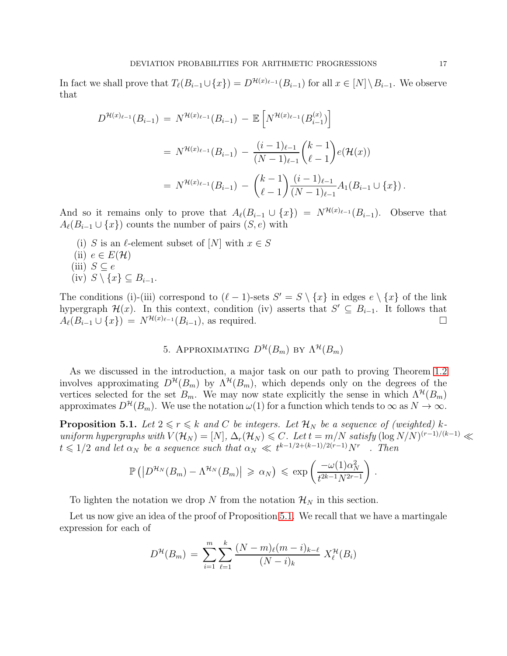In fact we shall prove that  $T_{\ell}(B_{i-1} \cup \{x\}) = D^{\mathcal{H}(x)_{\ell-1}}(B_{i-1})$  for all  $x \in [N] \setminus B_{i-1}$ . We observe that

$$
D^{\mathcal{H}(x)_{\ell-1}}(B_{i-1}) = N^{\mathcal{H}(x)_{\ell-1}}(B_{i-1}) - \mathbb{E}\left[N^{\mathcal{H}(x)_{\ell-1}}(B_{i-1}^{(x)})\right]
$$
  
=  $N^{\mathcal{H}(x)_{\ell-1}}(B_{i-1}) - \frac{(i-1)_{\ell-1}}{(N-1)_{\ell-1}} {k-1 \choose \ell-1} e(\mathcal{H}(x))$   
=  $N^{\mathcal{H}(x)_{\ell-1}}(B_{i-1}) - {k-1 \choose \ell-1} \frac{(i-1)_{\ell-1}}{(N-1)_{\ell-1}} A_1(B_{i-1} \cup \{x\}).$ 

And so it remains only to prove that  $A_{\ell}(B_{i-1} \cup \{x\}) = N^{\mathcal{H}(x)_{\ell-1}}(B_{i-1})$ . Observe that  $A_{\ell}(B_{i-1} \cup \{x\})$  counts the number of pairs  $(S, e)$  with

(i) S is an  $\ell$ -element subset of  $[N]$  with  $x \in S$ (ii)  $e \in E(\mathcal{H})$ (iii)  $S \subseteq e$ (iv)  $S \setminus \{x\} \subseteq B_{i-1}$ .

<span id="page-16-1"></span>The conditions (i)-(iii) correspond to  $(\ell - 1)$ -sets  $S' = S \setminus \{x\}$  in edges  $e \setminus \{x\}$  of the link hypergraph  $\mathcal{H}(x)$ . In this context, condition (iv) asserts that  $S' \subseteq B_{i-1}$ . It follows that  $A_{\ell}(B_{i-1} \cup \{x\}) = N^{\mathcal{H}(x)_{\ell-1}}(B_{i-1}),$  as required.

# 5. APPROXIMATING  $D^{\mathcal{H}}(B_m)$  by  $\Lambda^{\mathcal{H}}(B_m)$

As we discussed in the introduction, a major task on our path to proving Theorem [1.2](#page-4-1) involves approximating  $D^{\mathcal{H}}(B_m)$  by  $\Lambda^{\mathcal{H}}(B_m)$ , which depends only on the degrees of the vertices selected for the set  $B_m$ . We may now state explicitly the sense in which  $\Lambda^{\mathcal{H}}(B_m)$ approximates  $D^{\mathcal{H}}(B_m)$ . We use the notation  $\omega(1)$  for a function which tends to  $\infty$  as  $N \to \infty$ .

<span id="page-16-0"></span>**Proposition 5.1.** Let  $2 \le r \le k$  and C be integers. Let  $\mathcal{H}_N$  be a sequence of (weighted) kuniform hypergraphs with  $V(\mathcal{H}_N) = [N], \Delta_r(\mathcal{H}_N) \leq C$ . Let  $t = m/N$  satisfy  $(\log N/N)^{(r-1)/(k-1)} \ll$  $t \leq 1/2$  and let  $\alpha_N$  be a sequence such that  $\alpha_N \ll t^{k-1/2+(k-1)/2(r-1)}N^r$ . Then

$$
\mathbb{P}\left(\left|D^{\mathcal{H}_N}(B_m)-\Lambda^{\mathcal{H}_N}(B_m)\right|\geqslant \alpha_N\right)\leqslant \exp\left(\frac{-\omega(1)\alpha_N^2}{t^{2k-1}N^{2r-1}}\right).
$$

To lighten the notation we drop N from the notation  $\mathcal{H}_N$  in this section.

Let us now give an idea of the proof of Proposition [5.1.](#page-16-0) We recall that we have a martingale expression for each of

$$
D^{\mathcal{H}}(B_m) = \sum_{i=1}^{m} \sum_{\ell=1}^{k} \frac{(N-m)_{\ell}(m-i)_{k-\ell}}{(N-i)_{k}} X_{\ell}^{\mathcal{H}}(B_i)
$$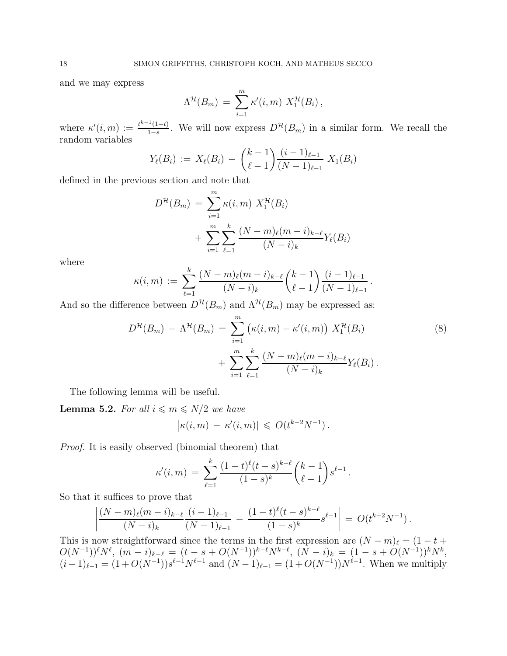and we may express

$$
\Lambda^{\mathcal{H}}(B_m) = \sum_{i=1}^m \kappa'(i,m) X_1^{\mathcal{H}}(B_i),
$$

where  $\kappa'(i,m) := \frac{t^{k-1}(1-t)}{1-s}$  $\frac{1-(1-t)}{1-s}$ . We will now express  $D^{\mathcal{H}}(B_m)$  in a similar form. We recall the random variables

$$
Y_{\ell}(B_i) := X_{\ell}(B_i) - {k-1 \choose \ell-1} \frac{(i-1)_{\ell-1}}{(N-1)_{\ell-1}} X_1(B_i)
$$

defined in the previous section and note that

$$
D^{\mathcal{H}}(B_m) = \sum_{i=1}^{m} \kappa(i, m) X_1^{\mathcal{H}}(B_i)
$$
  
+ 
$$
\sum_{i=1}^{m} \sum_{\ell=1}^{k} \frac{(N-m)_{\ell}(m-i)_{k-\ell}}{(N-i)_{k}} Y_{\ell}(B_i)
$$

where

$$
\kappa(i,m) \ := \ \sum_{\ell=1}^k \frac{(N-m)_{\ell}(m-i)_{k-\ell}}{(N-i)_k} {k-1 \choose \ell-1} \frac{(i-1)_{\ell-1}}{(N-1)_{\ell-1}}
$$

And so the difference between  $D^{\mathcal{H}}(B_m)$  and  $\Lambda^{\mathcal{H}}(B_m)$  may be expressed as:

$$
D^{\mathcal{H}}(B_m) - \Lambda^{\mathcal{H}}(B_m) = \sum_{i=1}^{m} (\kappa(i, m) - \kappa'(i, m)) X_1^{\mathcal{H}}(B_i)
$$
  
+ 
$$
\sum_{i=1}^{m} \sum_{\ell=1}^{k} \frac{(N-m)_{\ell}(m-i)_{k-\ell}}{(N-i)_{k}} Y_{\ell}(B_i).
$$
 (8)

<span id="page-17-0"></span>.

The following lemma will be useful.

<span id="page-17-1"></span>**Lemma 5.2.** For all  $i \leq m \leq N/2$  we have

$$
|\kappa(i,m) - \kappa'(i,m)| \leq O(t^{k-2}N^{-1}).
$$

Proof. It is easily observed (binomial theorem) that

$$
\kappa'(i,m) = \sum_{\ell=1}^k \frac{(1-t)^{\ell}(t-s)^{k-\ell}}{(1-s)^k} {k-1 \choose \ell-1} s^{\ell-1}.
$$

So that it suffices to prove that

$$
\left|\frac{(N-m)\ell(m-i)_{k-\ell}}{(N-i)_k}\frac{(i-1)\ell-1}{(N-1)\ell-1}-\frac{(1-t)^{\ell}(t-s)^{k-\ell}}{(1-s)^k}s^{\ell-1}\right|=O(t^{k-2}N^{-1}).
$$

This is now straightforward since the terms in the first expression are  $(N - m)_{\ell} = (1 - t +$  $O(N^{-1}))^{\ell}N^{\ell}$ ,  $(m-i)_{k-\ell} = (t-s+O(N^{-1}))^{k-\ell}N^{k-\ell}$ ,  $(N-i)_k = (1-s+O(N^{-1}))^kN^k$ ,  $(i-1)_{\ell-1} = (1+O(N^{-1}))s^{\ell-1}N^{\ell-1}$  and  $(N-1)_{\ell-1} = (1+O(N^{-1}))N^{\ell-1}$ . When we multiply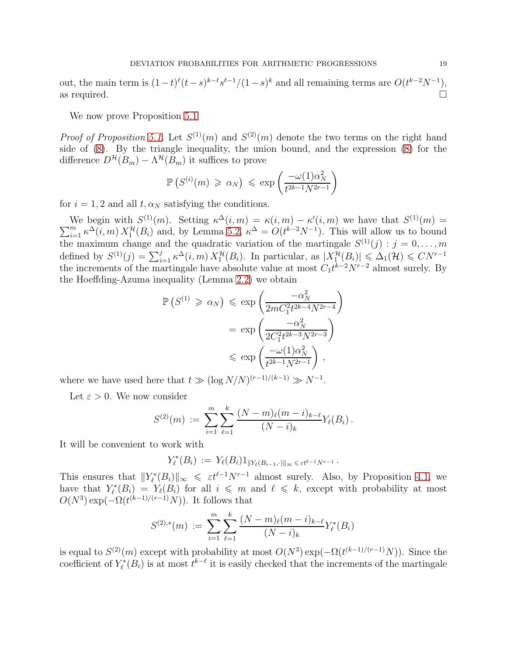out, the main term is  $(1-t)^{\ell}(t-s)^{k-\ell}s^{\ell-1}/(1-s)^{k}$  and all remaining terms are  $O(t^{k-2}N^{-1})$ , as required.  $\Box$ 

We now prove Proposition [5.1.](#page-16-0)

*Proof of Proposition [5.1.](#page-16-0)* Let  $S^{(1)}(m)$  and  $S^{(2)}(m)$  denote the two terms on the right hand side of [\(8\)](#page-17-0). By the triangle inequality, the union bound, and the expression [\(8\)](#page-17-0) for the difference  $D^{\mathcal{H}}(B_m) - \Lambda^{\mathcal{H}}(B_m)$  it suffices to prove

$$
\mathbb{P}\left(S^{(i)}(m) \geq \alpha_N\right) \leq \exp\left(\frac{-\omega(1)\alpha_N^2}{t^{2k-1}N^{2r-1}}\right)
$$

for  $i = 1, 2$  and all  $t, \alpha_N$  satisfying the conditions.

We begin with  $S^{(1)}(m)$ . Setting  $\kappa^{\Delta}(i,m) = \kappa(i,m) - \kappa'(i,m)$  we have that  $S^{(1)}$  $\sum$ We begin with  $S^{(1)}(m)$ . Setting  $\kappa^{\Delta}(i,m) = \kappa(i,m) - \kappa'(i,m)$  we have that  $S^{(1)}(m) =$ <br>  $\sum_{i=1}^{m} \kappa^{\Delta}(i,m) X_1^{\mathcal{H}}(B_i)$  and, by Lemma [5.2,](#page-17-1)  $\kappa^{\Delta} = O(t^{k-2}N^{-1})$ . This will allow us to bound the maximum change and the quadratic variation of the martingale  $S^{(1)}(j) : j = 0, \ldots, m$ defined by  $S^{(1)}(j) = \sum_{i=1}^{j} \kappa^{\Delta}(i,m) X_1^{\mathcal{H}}(B_i)$ . In particular, as  $|X_1^{\mathcal{H}}(B_i)| \leq \Delta_1(\mathcal{H}) \leq CN^{r-1}$ the increments of the martingale have absolute value at most  $C_1 t^{k-2} N^{r-2}$  almost surely. By the Hoeffding-Azuma inequality (Lemma [2.2\)](#page-8-2) we obtain

$$
\mathbb{P}\left(S^{(1)} \geq \alpha_N\right) \leq \exp\left(\frac{-\alpha_N^2}{2mC_1^2t^{2k-4}N^{2r-4}}\right)
$$

$$
= \exp\left(\frac{-\alpha_N^2}{2C_1^2t^{2k-3}N^{2r-3}}\right)
$$

$$
\leq \exp\left(\frac{-\omega(1)\alpha_N^2}{t^{2k-1}N^{2r-1}}\right),
$$

where we have used here that  $t \gg (\log N/N)^{(r-1)/(k-1)} \gg N^{-1}$ .

Let  $\varepsilon > 0$ . We now consider

$$
S^{(2)}(m) := \sum_{i=1}^{m} \sum_{\ell=1}^{k} \frac{(N-m)_{\ell}(m-i)_{k-\ell}}{(N-i)_{k}} Y_{\ell}(B_{i}).
$$

It will be convenient to work with

$$
Y_{\ell}^*(B_i) := Y_{\ell}(B_i) 1_{\|Y_{\ell}(B_{i-1}, \cdot)\|_{\infty} \leq \varepsilon t^{\ell-1} N^{r-1}}.
$$

This ensures that  $||Y_{\ell}^*(B_i)||_{\infty} \leq \varepsilon t^{\ell-1}N^{r-1}$  almost surely. Also, by Proposition [4.1,](#page-15-0) we have that  $Y_{\ell}^*(B_i) = Y_{\ell}(B_i)$  for all  $i \leq m$  and  $\ell \leq k$ , except with probability at most  $O(N^3) \exp(-\Omega(t^{(k-1)/(r-1)}N))$ . It follows that

$$
S^{(2),*}(m) := \sum_{i=1}^{m} \sum_{\ell=1}^{k} \frac{(N-m)_{\ell}(m-i)_{k-\ell}}{(N-i)_{k}} Y_{\ell}^{*}(B_{i})
$$

is equal to  $S^{(2)}(m)$  except with probability at most  $O(N^3) \exp(-\Omega(t^{(k-1)/(r-1)}N))$ . Since the coefficient of  $Y_{\ell}^*(B_i)$  is at most  $t^{k-\ell}$  it is easily checked that the increments of the martingale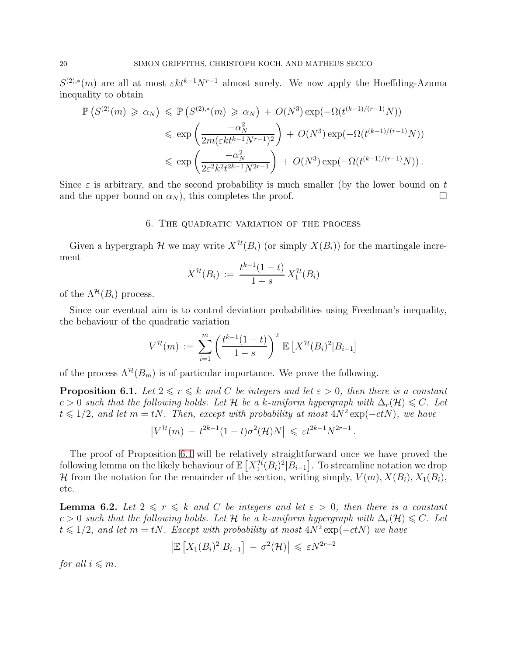$S^{(2),*}(m)$  are all at most  $\epsilon k t^{k-1} N^{r-1}$  almost surely. We now apply the Hoeffding-Azuma inequality to obtain

$$
\mathbb{P}\left(S^{(2)}(m) \geq \alpha_N\right) \leq \mathbb{P}\left(S^{(2),*}(m) \geq \alpha_N\right) + O(N^3) \exp\left(-\Omega(t^{(k-1)/(r-1)}N)\right)
$$
  

$$
\leq \exp\left(\frac{-\alpha_N^2}{2m(\varepsilon k t^{k-1}N^{r-1})^2}\right) + O(N^3) \exp\left(-\Omega(t^{(k-1)/(r-1)}N)\right)
$$
  

$$
\leq \exp\left(\frac{-\alpha_N^2}{2\varepsilon^2 k^2 t^{2k-1}N^{2r-1}}\right) + O(N^3) \exp\left(-\Omega(t^{(k-1)/(r-1)}N)\right).
$$

<span id="page-19-0"></span>Since  $\varepsilon$  is arbitrary, and the second probability is much smaller (by the lower bound on t and the upper bound on  $\alpha_N$ ), this completes the proof.

#### 6. The quadratic variation of the process

Given a hypergraph H we may write  $X^{\mathcal{H}}(B_i)$  (or simply  $X(B_i)$ ) for the martingale increment

$$
X^{\mathcal{H}}(B_i) := \frac{t^{k-1}(1-t)}{1-s} X_1^{\mathcal{H}}(B_i)
$$

of the  $\Lambda^{\mathcal{H}}(B_i)$  process.

Since our eventual aim is to control deviation probabilities using Freedman's inequality, the behaviour of the quadratic variation

$$
V^{\mathcal{H}}(m) := \sum_{i=1}^{m} \left( \frac{t^{k-1}(1-t)}{1-s} \right)^2 \mathbb{E} \left[ X^{\mathcal{H}}(B_i)^2 | B_{i-1} \right]
$$

of the process  $\Lambda^{\mathcal{H}}(B_m)$  is of particular importance. We prove the following.

<span id="page-19-1"></span>**Proposition 6.1.** Let  $2 \le r \le k$  and C be integers and let  $\varepsilon > 0$ , then there is a constant c > 0 such that the following holds. Let H be a k-uniform hypergraph with  $\Delta_r(\mathcal{H}) \leq C$ . Let  $t \leq 1/2$ , and let  $m = tN$ . Then, except with probability at most  $4N^2 \exp(-ctN)$ , we have

$$
\left|V^{\mathcal{H}}(m) - t^{2k-1}(1-t)\sigma^2(\mathcal{H})N\right| \leqslant \varepsilon t^{2k-1}N^{2r-1}.
$$

The proof of Proposition [6.1](#page-19-1) will be relatively straightforward once we have proved the following lemma on the likely behaviour of  $\mathbb{E}\left[X_1^{\mathcal{H}}(B_i)^2|\tilde{B}_{i-1}\right]$ . To streamline notation we drop H from the notation for the remainder of the section, writing simply,  $V(m)$ ,  $X(B_i)$ ,  $X_1(B_i)$ , etc.

<span id="page-19-2"></span>**Lemma 6.2.** Let  $2 \le r \le k$  and C be integers and let  $\varepsilon > 0$ , then there is a constant c > 0 such that the following holds. Let H be a k-uniform hypergraph with  $\Delta_r(\mathcal{H}) \leq C$ . Let  $t \leq 1/2$ , and let  $m = tN$ . Except with probability at most  $4N^2 \exp(-ctN)$  we have

$$
\left| \mathbb{E} \left[ X_1(B_i)^2 | B_{i-1} \right] - \sigma^2(\mathcal{H}) \right| \leq \varepsilon N^{2r-2}
$$

for all  $i \leq m$ .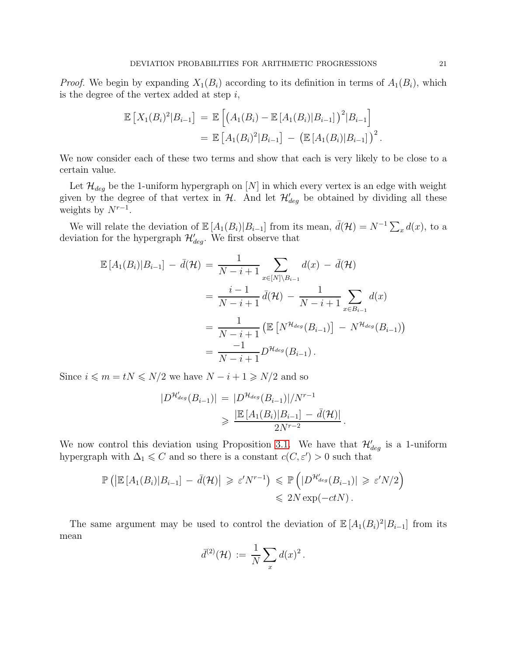*Proof.* We begin by expanding  $X_1(B_i)$  according to its definition in terms of  $A_1(B_i)$ , which is the degree of the vertex added at step  $i$ ,

$$
\mathbb{E}\left[X_1(B_i)^2|B_{i-1}\right] = \mathbb{E}\left[\left(A_1(B_i) - \mathbb{E}\left[A_1(B_i)|B_{i-1}\right]\right)^2|B_{i-1}\right]
$$
  
= 
$$
\mathbb{E}\left[A_1(B_i)^2|B_{i-1}\right] - \left(\mathbb{E}\left[A_1(B_i)|B_{i-1}\right]\right)^2.
$$

We now consider each of these two terms and show that each is very likely to be close to a certain value.

Let  $\mathcal{H}_{deg}$  be the 1-uniform hypergraph on [N] in which every vertex is an edge with weight given by the degree of that vertex in  $H$ . And let  $\mathcal{H}'_{deg}$  be obtained by dividing all these weights by  $N^{r-1}$ .

We will relate the deviation of  $\mathbb{E}[A_1(B_i)|B_{i-1}]$  from its mean,  $\bar{d}(\mathcal{H}) = N^{-1} \sum_x d(x)$ , to a deviation for the hypergraph  $\mathcal{H}'_{deg}$ . We first observe that

$$
\mathbb{E}[A_1(B_i)|B_{i-1}] - \bar{d}(\mathcal{H}) = \frac{1}{N-i+1} \sum_{x \in [N] \setminus B_{i-1}} d(x) - \bar{d}(\mathcal{H})
$$
  
\n
$$
= \frac{i-1}{N-i+1} \bar{d}(\mathcal{H}) - \frac{1}{N-i+1} \sum_{x \in B_{i-1}} d(x)
$$
  
\n
$$
= \frac{1}{N-i+1} \left( \mathbb{E}[N^{\mathcal{H}_{deg}}(B_{i-1})] - N^{\mathcal{H}_{deg}}(B_{i-1}) \right)
$$
  
\n
$$
= \frac{-1}{N-i+1} D^{\mathcal{H}_{deg}}(B_{i-1}).
$$

Since  $i \leq m = tN \leq N/2$  we have  $N - i + 1 \geq N/2$  and so

$$
|D^{\mathcal{H}_{deg}'}(B_{i-1})| = |D^{\mathcal{H}_{deg}}(B_{i-1})|/N^{r-1}
$$
  

$$
\geq \frac{|\mathbb{E}[A_1(B_i)|B_{i-1}] - \bar{d}(\mathcal{H})|}{2N^{r-2}}.
$$

We now control this deviation using Proposition [3.1.](#page-10-1) We have that  $\mathcal{H}'_{deg}$  is a 1-uniform hypergraph with  $\Delta_1 \leqslant C$  and so there is a constant  $c(C, \varepsilon') > 0$  such that

$$
\mathbb{P}\left(\left|\mathbb{E}\left[A_1(B_i)|B_{i-1}\right] - \bar{d}(\mathcal{H})\right| \geqslant \varepsilon' N^{r-1}\right) \leqslant \mathbb{P}\left(\left|D^{\mathcal{H}_{deg}'}(B_{i-1})\right| \geqslant \varepsilon' N/2\right) \leqslant 2N \exp(-ctN).
$$

The same argument may be used to control the deviation of  $\mathbb{E}[A_1(B_i)^2|B_{i-1}]$  from its mean

$$
\bar{d}^{(2)}(\mathcal{H})\, :=\, \frac{1}{N}\sum_x d(x)^2\, .
$$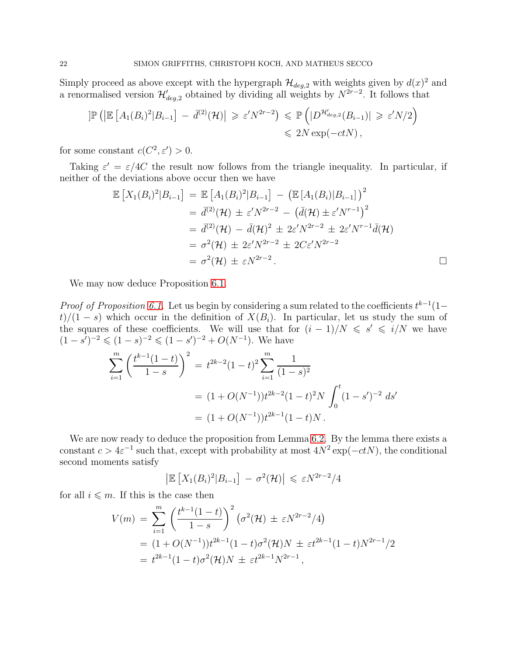Simply proceed as above except with the hypergraph  $\mathcal{H}_{deg,2}$  with weights given by  $d(x)^2$  and a renormalised version  $\mathcal{H}'_{deg,2}$  obtained by dividing all weights by  $N^{2r-2}$ . It follows that

$$
\begin{aligned} \left| \mathbb{P} \left( \left| \mathbb{E} \left[ A_1(B_i)^2 | B_{i-1} \right] - \bar{d}^{(2)}(\mathcal{H}) \right| \geqslant \varepsilon' N^{2r-2} \right) &\leqslant \mathbb{P} \left( |D^{\mathcal{H}_{deg,2}'}(B_{i-1})| \geqslant \varepsilon' N/2 \right) \\ &\leqslant 2N \exp(-ctN) \,, \end{aligned}
$$

for some constant  $c(C^2, \varepsilon') > 0$ .

Taking  $\varepsilon' = \varepsilon/4C$  the result now follows from the triangle inequality. In particular, if neither of the deviations above occur then we have

$$
\mathbb{E}\left[X_1(B_i)^2|B_{i-1}\right] = \mathbb{E}\left[A_1(B_i)^2|B_{i-1}\right] - \left(\mathbb{E}\left[A_1(B_i)|B_{i-1}\right]\right)^2
$$
  
\n
$$
= \bar{d}^{(2)}(\mathcal{H}) \pm \varepsilon' N^{2r-2} - \left(\bar{d}(\mathcal{H}) \pm \varepsilon' N^{r-1}\right)^2
$$
  
\n
$$
= \bar{d}^{(2)}(\mathcal{H}) - \bar{d}(\mathcal{H})^2 \pm 2\varepsilon' N^{2r-2} \pm 2\varepsilon' N^{r-1}\bar{d}(\mathcal{H})
$$
  
\n
$$
= \sigma^2(\mathcal{H}) \pm 2\varepsilon' N^{2r-2} \pm 2C\varepsilon' N^{2r-2}
$$
  
\n
$$
= \sigma^2(\mathcal{H}) \pm \varepsilon N^{2r-2}.
$$

We may now deduce Proposition [6.1.](#page-19-1)

*Proof of Proposition [6.1.](#page-19-1)* Let us begin by considering a sum related to the coefficients  $t^{k-1}(1-t)$  $t)/(1-s)$  which occur in the definition of  $X(B_i)$ . In particular, let us study the sum of the squares of these coefficients. We will use that for  $(i - 1)/N \leq s' \leq i/N$  we have  $(1-s')^{-2} \leqslant (1-s)^{-2} \leqslant (1-s')^{-2} + O(N^{-1}).$  We have

$$
\sum_{i=1}^{m} \left( \frac{t^{k-1}(1-t)}{1-s} \right)^2 = t^{2k-2}(1-t)^2 \sum_{i=1}^{m} \frac{1}{(1-s)^2}
$$
  
=  $(1+O(N^{-1}))t^{2k-2}(1-t)^2N \int_0^t (1-s')^{-2} ds'$   
=  $(1+O(N^{-1}))t^{2k-1}(1-t)N$ .

We are now ready to deduce the proposition from Lemma [6.2.](#page-19-2) By the lemma there exists a constant  $c > 4\varepsilon^{-1}$  such that, except with probability at most  $4N^2 \exp(-ctN)$ , the conditional second moments satisfy

$$
\left| \mathbb{E} \left[ X_1(B_i)^2 | B_{i-1} \right] - \sigma^2(\mathcal{H}) \right| \leq \varepsilon N^{2r-2}/4
$$

for all  $i \leq m$ . If this is the case then

$$
V(m) = \sum_{i=1}^{m} \left( \frac{t^{k-1}(1-t)}{1-s} \right)^2 \left( \sigma^2(\mathcal{H}) \pm \varepsilon N^{2r-2} / 4 \right)
$$
  
=  $(1 + O(N^{-1}))t^{2k-1}(1-t)\sigma^2(\mathcal{H})N \pm \varepsilon t^{2k-1}(1-t)N^{2r-1} / 2$   
=  $t^{2k-1}(1-t)\sigma^2(\mathcal{H})N \pm \varepsilon t^{2k-1}N^{2r-1},$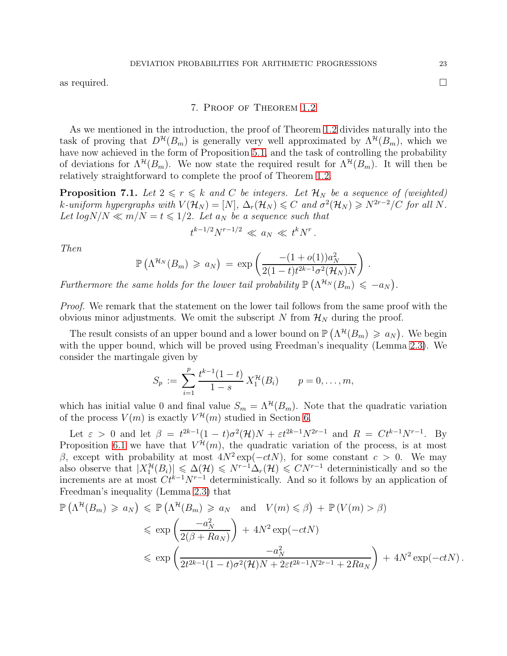<span id="page-22-1"></span>as required.  $\square$ 

### 7. Proof of Theorem [1.2](#page-4-1)

As we mentioned in the introduction, the proof of Theorem [1.2](#page-4-1) divides naturally into the task of proving that  $D^{\mathcal{H}}(B_m)$  is generally very well approximated by  $\Lambda^{\mathcal{H}}(B_m)$ , which we have now achieved in the form of Proposition [5.1,](#page-16-0) and the task of controlling the probability of deviations for  $\Lambda^{\mathcal{H}}(B_m)$ . We now state the required result for  $\Lambda^{\mathcal{H}}(B_m)$ . It will then be relatively straightforward to complete the proof of Theorem [1.2.](#page-4-1)

<span id="page-22-0"></span>**Proposition 7.1.** Let  $2 \le r \le k$  and C be integers. Let  $\mathcal{H}_N$  be a sequence of (weighted) k-uniform hypergraphs with  $V(\mathcal{H}_N) = [N]$ ,  $\Delta_r(\mathcal{H}_N) \leq C$  and  $\sigma^2(\mathcal{H}_N) \geq N^{2r-2}/C$  for all N. Let  $log N/N \ll m/N = t \leq 1/2$ . Let  $a_N$  be a sequence such that

$$
t^{k-1/2}N^{r-1/2} \ll a_N \ll t^kN^r
$$

.

Then

$$
\mathbb{P}\left(\Lambda^{\mathcal{H}_N}(B_m) \geq a_N\right) \, = \, \exp\left(\frac{-(1+o(1))a_N^2}{2(1-t)t^{2k-1}\sigma^2(\mathcal{H}_N)N}\right) \, .
$$

Furthermore the same holds for the lower tail probability  $\mathbb{P}(\Lambda^{H_N}(B_m) \leq -a_N)$ .

Proof. We remark that the statement on the lower tail follows from the same proof with the obvious minor adjustments. We omit the subscript N from  $\mathcal{H}_N$  during the proof.

The result consists of an upper bound and a lower bound on  $\mathbb{P}(\Lambda^{\mathcal{H}}(B_m) \geq a_N)$ . We begin with the upper bound, which will be proved using Freedman's inequality (Lemma [2.3\)](#page-9-1). We consider the martingale given by

$$
S_p := \sum_{i=1}^p \frac{t^{k-1}(1-t)}{1-s} X_1^{\mathcal{H}}(B_i) \qquad p = 0, \ldots, m,
$$

which has initial value 0 and final value  $S_m = \Lambda^{\mathcal{H}}(B_m)$ . Note that the quadratic variation of the process  $V(m)$  is exactly  $V^{\mathcal{H}}(m)$  studied in Section [6.](#page-19-0)

Let  $\varepsilon > 0$  and let  $\beta = t^{2k-1}(1-t)\sigma^2(\mathcal{H})N + \varepsilon t^{2k-1}N^{2r-1}$  and  $R = Ct^{k-1}N^{r-1}$ . By Proposition [6.1](#page-19-1) we have that  $V^{\mathcal{H}}(m)$ , the quadratic variation of the process, is at most β, except with probability at most  $4N^2 \exp(-ctN)$ , for some constant  $c > 0$ . We may also observe that  $|X_1^{\mathcal{H}}(B_i)| \leq \Delta(\mathcal{H}) \leq N^{r-1}\Delta_r(\mathcal{H}) \leq CN^{r-1}$  deterministically and so the increments are at most  $Ct^{k-1}N^{r-1}$  deterministically. And so it follows by an application of Freedman's inequality (Lemma [2.3\)](#page-9-1) that

$$
\mathbb{P}\left(\Lambda^{\mathcal{H}}(B_{m}) \geq a_{N}\right) \leq \mathbb{P}\left(\Lambda^{\mathcal{H}}(B_{m}) \geq a_{N} \text{ and } V(m) \leq \beta\right) + \mathbb{P}\left(V(m) > \beta\right)
$$
  

$$
\leq \exp\left(\frac{-a_{N}^{2}}{2(\beta + Ra_{N})}\right) + 4N^{2}\exp(-ctN)
$$
  

$$
\leq \exp\left(\frac{-a_{N}^{2}}{2t^{2k-1}(1-t)\sigma^{2}(\mathcal{H})N + 2\epsilon t^{2k-1}N^{2r-1} + 2Ra_{N}}\right) + 4N^{2}\exp(-ctN).
$$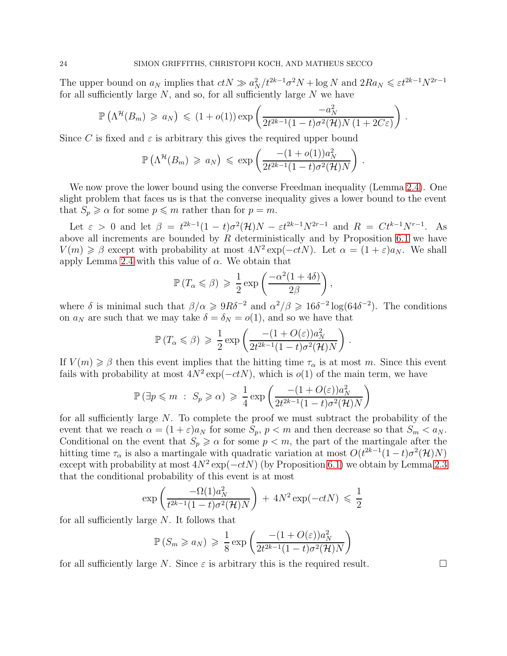The upper bound on  $a_N$  implies that  $ctN \gg a_N^2/t^{2k-1}\sigma^2N + \log N$  and  $2Ra_N \leq \varepsilon t^{2k-1}N^{2r-1}$ for all sufficiently large  $N$ , and so, for all sufficiently large  $N$  we have

$$
\mathbb{P}\left(\Lambda^{\mathcal{H}}(B_m) \geq a_N\right) \leq (1+o(1)) \exp\left(\frac{-a_N^2}{2t^{2k-1}(1-t)\sigma^2(\mathcal{H})N(1+2C\varepsilon)}\right).
$$

Since C is fixed and  $\varepsilon$  is arbitrary this gives the required upper bound

$$
\mathbb{P}\left(\Lambda^{\mathcal{H}}(B_m) \geq a_N\right) \leq \exp\left(\frac{-(1+o(1))a_N^2}{2t^{2k-1}(1-t)\sigma^2(\mathcal{H})N}\right)
$$

.

.

We now prove the lower bound using the converse Freedman inequality (Lemma [2.4\)](#page-9-2). One slight problem that faces us is that the converse inequality gives a lower bound to the event that  $S_p \geq \alpha$  for some  $p \leq m$  rather than for  $p = m$ .

Let  $\varepsilon > 0$  and let  $\beta = t^{2k-1}(1-t)\sigma^2(\mathcal{H})N - \varepsilon t^{2k-1}N^{2r-1}$  and  $R = Ct^{k-1}N^{r-1}$ . As above all increments are bounded by  $R$  deterministically and by Proposition [6.1](#page-19-1) we have  $V(m) \geq \beta$  except with probability at most  $4N^2 \exp(-ctN)$ . Let  $\alpha = (1 + \varepsilon)a_N$ . We shall apply Lemma [2.4](#page-9-2) with this value of  $\alpha$ . We obtain that

$$
\mathbb{P}\left(T_{\alpha} \leqslant \beta\right) \geqslant \frac{1}{2} \exp\left(\frac{-\alpha^2 (1 + 4\delta)}{2\beta}\right),\,
$$

where  $\delta$  is minimal such that  $\beta/\alpha \geqslant 9R\delta^{-2}$  and  $\alpha^2/\beta \geqslant 16\delta^{-2} \log(64\delta^{-2})$ . The conditions on  $a_N$  are such that we may take  $\delta = \delta_N = o(1)$ , and so we have that

$$
\mathbb{P}\left(T_{\alpha} \leqslant \beta\right) \geqslant \frac{1}{2} \exp\left(\frac{-\left(1+O(\varepsilon)\right)a_N^2}{2t^{2k-1}(1-t)\sigma^2(\mathcal{H})N}\right)
$$

If  $V(m) \geq \beta$  then this event implies that the hitting time  $\tau_{\alpha}$  is at most m. Since this event fails with probability at most  $4N^2 \exp(-ctN)$ , which is  $o(1)$  of the main term, we have

$$
\mathbb{P}(\exists p \leqslant m : S_p \geqslant \alpha) \geqslant \frac{1}{4} \exp\left(\frac{-(1+O(\varepsilon))a_N^2}{2t^{2k-1}(1-t)\sigma^2(\mathcal{H})N}\right)
$$

for all sufficiently large  $N$ . To complete the proof we must subtract the probability of the event that we reach  $\alpha = (1 + \varepsilon)a_N$  for some  $S_p$ ,  $p < m$  and then decrease so that  $S_m < a_N$ . Conditional on the event that  $S_p \geq \alpha$  for some  $p < m$ , the part of the martingale after the hitting time  $\tau_{\alpha}$  is also a martingale with quadratic variation at most  $O(t^{2k-1}(1-t)\sigma^2(\mathcal{H})N)$ except with probability at most  $4N^2 \exp(-ctN)$  (by Proposition [6.1\)](#page-19-1) we obtain by Lemma [2.3](#page-9-1) that the conditional probability of this event is at most

$$
\exp\left(\frac{-\Omega(1)a_N^2}{t^{2k-1}(1-t)\sigma^2(\mathcal{H})N}\right) + 4N^2\exp(-ctN) \leq \frac{1}{2}
$$

for all sufficiently large N. It follows that

$$
\mathbb{P}(S_m \ge a_N) \ge \frac{1}{8} \exp\left(\frac{-(1+O(\varepsilon))a_N^2}{2t^{2k-1}(1-t)\sigma^2(\mathcal{H})N}\right)
$$

for all sufficiently large N. Since  $\varepsilon$  is arbitrary this is the required result.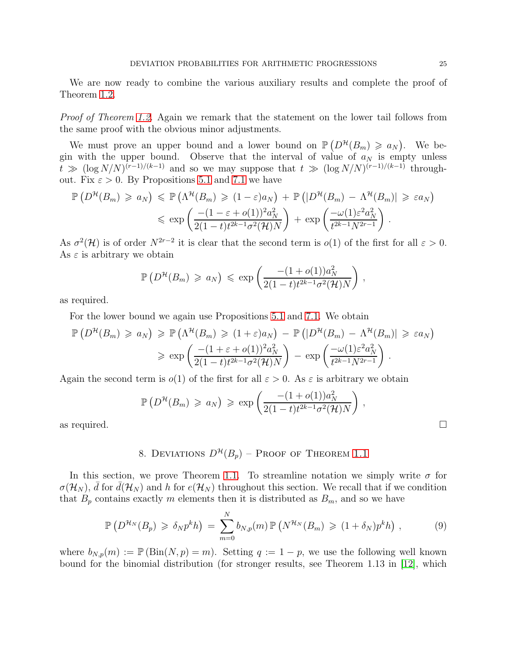We are now ready to combine the various auxiliary results and complete the proof of Theorem [1.2.](#page-4-1)

Proof of Theorem [1.2.](#page-4-1) Again we remark that the statement on the lower tail follows from the same proof with the obvious minor adjustments.

We must prove an upper bound and a lower bound on  $\mathbb{P}(D^{\mathcal{H}}(B_m) \geq a_N)$ . We begin with the upper bound. Observe that the interval of value of  $a_N$  is empty unless  $t \gg (\log N/N)^{(r-1)/(k-1)}$  and so we may suppose that  $t \gg (\log N/N)^{(r-1)/(k-1)}$  throughout. Fix  $\varepsilon > 0$ . By Propositions [5.1](#page-16-0) and [7.1](#page-22-0) we have

$$
\mathbb{P}\left(D^{\mathcal{H}}(B_{m}) \geq a_{N}\right) \leq \mathbb{P}\left(\Lambda^{\mathcal{H}}(B_{m}) \geq (1-\varepsilon)a_{N}\right) + \mathbb{P}\left(|D^{\mathcal{H}}(B_{m}) - \Lambda^{\mathcal{H}}(B_{m})|\geq \varepsilon a_{N}\right)
$$

$$
\leq \exp\left(\frac{-(1-\varepsilon+o(1))^{2}a_{N}^{2}}{2(1-t)t^{2k-1}\sigma^{2}(\mathcal{H})N}\right) + \exp\left(\frac{-\omega(1)\varepsilon^{2}a_{N}^{2}}{t^{2k-1}N^{2r-1}}\right).
$$

As  $\sigma^2(\mathcal{H})$  is of order  $N^{2r-2}$  it is clear that the second term is  $o(1)$  of the first for all  $\varepsilon > 0$ . As  $\varepsilon$  is arbitrary we obtain

$$
\mathbb{P}\left(D^{\mathcal{H}}(B_m) \geq a_N\right) \leq \exp\left(\frac{-(1+o(1))a_N^2}{2(1-t)t^{2k-1}\sigma^2(\mathcal{H})N}\right),
$$

as required.

For the lower bound we again use Propositions [5.1](#page-16-0) and [7.1.](#page-22-0) We obtain

$$
\mathbb{P}\left(D^{\mathcal{H}}(B_{m}) \geq a_{N}\right) \geq \mathbb{P}\left(\Lambda^{\mathcal{H}}(B_{m}) \geq (1+\varepsilon)a_{N}\right) - \mathbb{P}\left(|D^{\mathcal{H}}(B_{m}) - \Lambda^{\mathcal{H}}(B_{m})|\geq \varepsilon a_{N}\right)
$$

$$
\geq \exp\left(\frac{-(1+\varepsilon+o(1))^{2}a_{N}^{2}}{2(1-t)t^{2k-1}\sigma^{2}(\mathcal{H})N}\right) - \exp\left(\frac{-\omega(1)\varepsilon^{2}a_{N}^{2}}{t^{2k-1}N^{2r-1}}\right).
$$

Again the second term is  $o(1)$  of the first for all  $\varepsilon > 0$ . As  $\varepsilon$  is arbitrary we obtain

$$
\mathbb{P}\left(D^{\mathcal{H}}(B_m) \geq a_N\right) \geq \exp\left(\frac{-(1+o(1))a_N^2}{2(1-t)t^{2k-1}\sigma^2(\mathcal{H})N}\right),
$$
 as required.

<span id="page-24-0"></span>

8. DEVIATIONS  $D^{\mathcal{H}}(B_p)$  – Proof of Theorem [1.1](#page-4-0)

In this section, we prove Theorem [1.1.](#page-4-0) To streamline notation we simply write  $\sigma$  for  $\sigma(\mathcal{H}_N)$ , d for  $d(\mathcal{H}_N)$  and h for  $e(\mathcal{H}_N)$  throughout this section. We recall that if we condition that  $B_p$  contains exactly m elements then it is distributed as  $B_m$ , and so we have

<span id="page-24-1"></span>
$$
\mathbb{P}\left(D^{\mathcal{H}_N}(B_p) \geq \delta_N p^k h\right) = \sum_{m=0}^N b_{N,p}(m) \mathbb{P}\left(N^{\mathcal{H}_N}(B_m) \geq (1+\delta_N)p^k h\right),\tag{9}
$$

where  $b_{N,p}(m) := \mathbb{P}(\text{Bin}(N, p) = m)$ . Setting  $q := 1 - p$ , we use the following well known bound for the binomial distribution (for stronger results, see Theorem 1.13 in [\[12\]](#page-30-14), which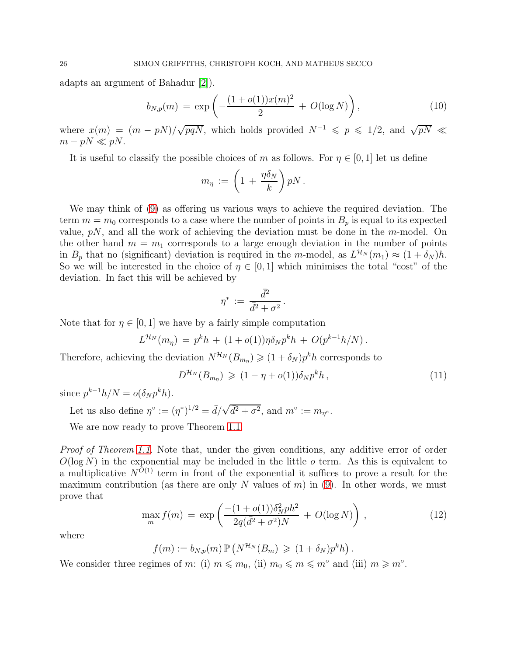adapts an argument of Bahadur [\[2\]](#page-30-18)).

<span id="page-25-1"></span>
$$
b_{N,p}(m) = \exp\left(-\frac{(1+o(1))x(m)^2}{2} + O(\log N)\right),\tag{10}
$$

where  $x(m) = (m - pN)/\sqrt{pqN}$ , which holds provided  $N^{-1} \leqslant p \leqslant 1/2$ , and  $\sqrt{pN} \leqslant$  $m - pN \ll pN$ .

It is useful to classify the possible choices of m as follows. For  $\eta \in [0, 1]$  let us define

$$
m_{\eta} := \left(1 + \frac{\eta \delta_N}{k}\right) pN.
$$

We may think of [\(9\)](#page-24-1) as offering us various ways to achieve the required deviation. The term  $m = m_0$  corresponds to a case where the number of points in  $B_p$  is equal to its expected value,  $pN$ , and all the work of achieving the deviation must be done in the m-model. On the other hand  $m = m_1$  corresponds to a large enough deviation in the number of points in  $B_p$  that no (significant) deviation is required in the m-model, as  $L^{N} (m_1) \approx (1 + \delta_N) h$ . So we will be interested in the choice of  $\eta \in [0,1]$  which minimises the total "cost" of the deviation. In fact this will be achieved by

$$
\eta^* \, := \, \frac{\bar{d}^2}{\bar{d}^2 + \sigma^2}
$$

.

Note that for  $\eta \in [0, 1]$  we have by a fairly simple computation

$$
L^{\mathcal{H}_N}(m_{\eta}) = p^k h + (1 + o(1)) \eta \delta_N p^k h + O(p^{k-1} h/N).
$$

Therefore, achieving the deviation  $N^{\mathcal{H}_N}(B_{m_n}) \geqslant (1 + \delta_N)p^k h$  corresponds to

<span id="page-25-0"></span>
$$
D^{\mathcal{H}_N}(B_{m_\eta}) \geqslant (1 - \eta + o(1))\delta_N p^k h, \qquad (11)
$$

since  $p^{k-1}h/N = o(\delta_N p^k h)$ .

Let us also define  $\eta^{\circ} := (\eta^*)^{1/2} = \overline{d}/\sqrt{\overline{d^2 + \sigma^2}}$ , and  $m^{\circ} := m_{\eta^{\circ}}$ .

We are now ready to prove Theorem [1.1.](#page-4-0)

Proof of Theorem [1.1.](#page-4-0) Note that, under the given conditions, any additive error of order  $O(\log N)$  in the exponential may be included in the little o term. As this is equivalent to a multiplicative  $N^{O(1)}$  term in front of the exponential it suffices to prove a result for the maximum contribution (as there are only N values of  $m$ ) in [\(9\)](#page-24-1). In other words, we must prove that

$$
\max_{m} f(m) = \exp\left(\frac{-(1+o(1))\delta_N^2 p h^2}{2q(\bar{d}^2 + \sigma^2)N} + O(\log N)\right),\tag{12}
$$

where

 $f(m) := b_{N,p}(m) \mathbb{P}\left(N^{\mathcal{H}_N}(B_m) \geq (1 + \delta_N)p^k h\right).$ 

We consider three regimes of m: (i)  $m \leq m_0$ , (ii)  $m_0 \leq m \leq m^{\circ}$  and (iii)  $m \geq m^{\circ}$ .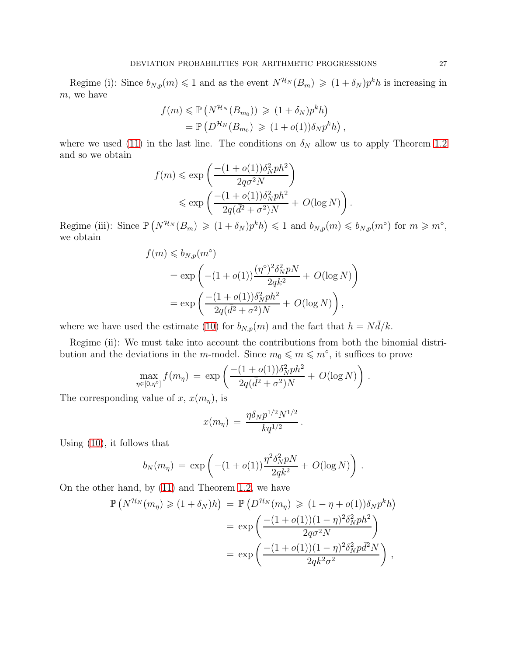Regime (i): Since  $b_{N,p}(m) \leq 1$  and as the event  $N^{\mathcal{H}_N}(B_m) \geq (1 + \delta_N)p^kh$  is increasing in m, we have

$$
f(m) \leq \mathbb{P}\left(N^{\mathcal{H}_N}(B_{m_0})\right) \geq (1+\delta_N)p^k h
$$
  
=  $\mathbb{P}\left(D^{\mathcal{H}_N}(B_{m_0}) \geq (1+o(1))\delta_N p^k h\right),$ 

where we used [\(11\)](#page-25-0) in the last line. The conditions on  $\delta_N$  allow us to apply Theorem [1.2](#page-4-1) and so we obtain

$$
f(m) \le \exp\left(\frac{-(1+o(1))\delta_N^2 p h^2}{2q\sigma^2 N}\right)
$$
  
 
$$
\le \exp\left(\frac{-(1+o(1))\delta_N^2 p h^2}{2q(\bar{d}^2+\sigma^2)N}+O(\log N)\right).
$$

Regime (iii): Since  $\mathbb{P}\left(N^{\mathcal{H}_N}(B_m) \geqslant (1+\delta_N)p^kh\right) \leqslant 1$  and  $b_{N,p}(m) \leqslant b_{N,p}(m^{\circ})$  for  $m \geqslant m^{\circ}$ , we obtain

$$
f(m) \leq b_{N,p}(m^{\circ})
$$
  
=  $\exp\left(-(1 + o(1)) \frac{(\eta^{\circ})^2 \delta_N^2 pN}{2qk^2} + O(\log N)\right)$   
=  $\exp\left(\frac{-(1 + o(1))\delta_N^2 p h^2}{2q(\bar{d}^2 + \sigma^2)N} + O(\log N)\right),$ 

where we have used the estimate [\(10\)](#page-25-1) for  $b_{N,p}(m)$  and the fact that  $h = N \bar{d}/k$ .

Regime (ii): We must take into account the contributions from both the binomial distribution and the deviations in the m-model. Since  $m_0 \leqslant m \leqslant m^{\circ}$ , it suffices to prove

$$
\max_{\eta \in [0,\eta^{\circ}]} f(m_{\eta}) = \exp \left( \frac{-(1+o(1))\delta_N^2 ph^2}{2q(\bar{d}^2 + \sigma^2)N} + O(\log N) \right).
$$

The corresponding value of x,  $x(m<sub>\eta</sub>)$ , is

$$
x(m_{\eta}) = \frac{\eta \delta_N p^{1/2} N^{1/2}}{kq^{1/2}}.
$$

Using [\(10\)](#page-25-1), it follows that

$$
b_N(m_{\eta}) = \exp\left(-(1 + o(1))\frac{\eta^2 \delta_N^2 pN}{2q k^2} + O(\log N)\right).
$$

On the other hand, by [\(11\)](#page-25-0) and Theorem [1.2,](#page-4-1) we have

$$
\mathbb{P}\left(N^{\mathcal{H}_N}(m_\eta) \geqslant (1+\delta_N)h\right) = \mathbb{P}\left(D^{\mathcal{H}_N}(m_\eta) \geqslant (1-\eta+o(1))\delta_N p^k h\right)
$$

$$
= \exp\left(\frac{-(1+o(1))(1-\eta)^2 \delta_N^2 p h^2}{2q\sigma^2 N}\right)
$$

$$
= \exp\left(\frac{-(1+o(1))(1-\eta)^2 \delta_N^2 p \bar{d}^2 N}{2q k^2 \sigma^2}\right),
$$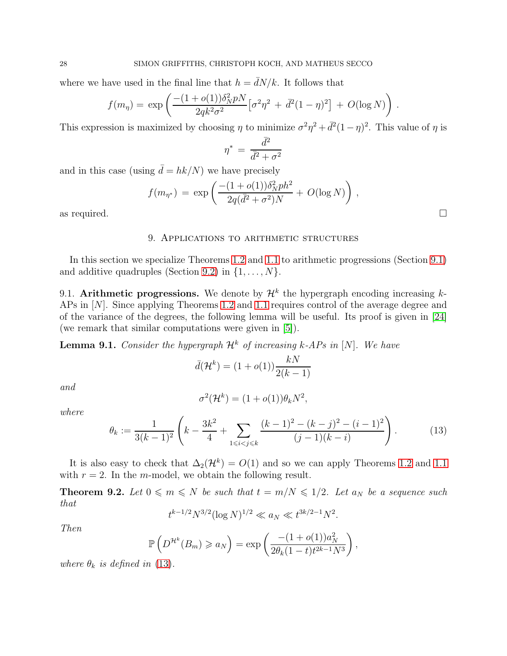where we have used in the final line that  $h = \bar{d}N/k$ . It follows that

$$
f(m_{\eta}) = \exp \left( \frac{-(1 + o(1)) \delta_N^2 pN}{2q k^2 \sigma^2} \left[ \sigma^2 \eta^2 + \bar{d}^2 (1 - \eta)^2 \right] + O(\log N) \right).
$$

This expression is maximized by choosing  $\eta$  to minimize  $\sigma^2 \eta^2 + d^2(1-\eta)^2$ . This value of  $\eta$  is

$$
\eta^* \,=\, \frac{\bar{d}^2}{\bar{d}^2+\sigma^2}
$$

and in this case (using  $\bar{d} = hk/N$ ) we have precisely

$$
f(m_{\eta^*}) = \exp\left(\frac{-(1+o(1))\delta_N^2 p h^2}{2q(\bar{d}^2+\sigma^2)N}+O(\log N)\right),\,
$$

<span id="page-27-0"></span>as required.  $\Box$ 

### 9. Applications to arithmetic structures

In this section we specialize Theorems [1.2](#page-4-1) and [1.1](#page-4-0) to arithmetic progressions (Section [9.1\)](#page-27-1) and additive quadruples (Section [9.2\)](#page-28-0) in  $\{1, \ldots, N\}$ .

<span id="page-27-1"></span>9.1. Arithmetic progressions. We denote by  $\mathcal{H}^k$  the hypergraph encoding increasing  $k$ -APs in [N]. Since applying Theorems [1.2](#page-4-1) and [1.1](#page-4-0) requires control of the average degree and of the variance of the degrees, the following lemma will be useful. Its proof is given in [\[24\]](#page-31-5) (we remark that similar computations were given in [\[5\]](#page-30-0)).

**Lemma 9.1.** Consider the hypergraph  $\mathcal{H}^k$  of increasing k-APs in [N]. We have

$$
\bar{d}(\mathcal{H}^k) = (1 + o(1)) \frac{kN}{2(k-1)}
$$

and

where

$$
\sigma^2(\mathcal{H}^k) = (1 + o(1))\theta_k N^2,
$$

<span id="page-27-2"></span>
$$
\theta_k := \frac{1}{3(k-1)^2} \left( k - \frac{3k^2}{4} + \sum_{1 \le i < j \le k} \frac{(k-1)^2 - (k-j)^2 - (i-1)^2}{(j-1)(k-i)} \right). \tag{13}
$$

.

It is also easy to check that  $\Delta_2(\mathcal{H}^k) = O(1)$  and so we can apply Theorems [1.2](#page-4-1) and [1.1](#page-4-0) with  $r = 2$ . In the *m*-model, we obtain the following result.

**Theorem 9.2.** Let  $0 \le m \le N$  be such that  $t = m/N \le 1/2$ . Let  $a_N$  be a sequence such that

$$
t^{k-1/2}N^{3/2}(\log N)^{1/2} \ll a_N \ll t^{3k/2-1}N^2
$$

Then

$$
\mathbb{P}\left(D^{\mathcal{H}^k}(B_m) \geq a_N\right) = \exp\left(\frac{-(1+o(1))a_N^2}{2\theta_k(1-t)t^{2k-1}N^3}\right),\,
$$

where  $\theta_k$  is defined in [\(13\)](#page-27-2).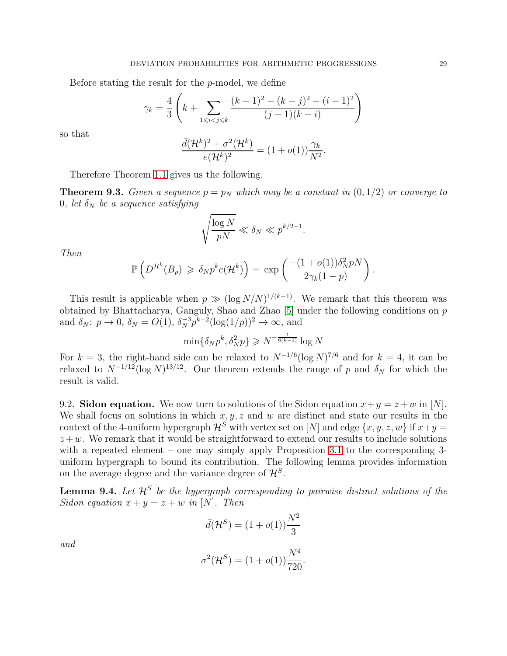Before stating the result for the p-model, we define

$$
\gamma_k = \frac{4}{3} \left( k + \sum_{1 \le i < j \le k} \frac{(k-1)^2 - (k-j)^2 - (i-1)^2}{(j-1)(k-i)} \right)
$$

so that

$$
\frac{\bar{d}(\mathcal{H}^k)^2 + \sigma^2(\mathcal{H}^k)}{e(\mathcal{H}^k)^2} = (1 + o(1))\frac{\gamma_k}{N^2}.
$$

Therefore Theorem [1.1](#page-4-0) gives us the following.

**Theorem 9.3.** Given a sequence  $p = p_N$  which may be a constant in  $(0, 1/2)$  or converge to 0, let  $\delta_N$  be a sequence satisfying

$$
\sqrt{\frac{\log N}{pN}} \ll \delta_N \ll p^{k/2 - 1}.
$$

Then

$$
\mathbb{P}\left(D^{\mathcal{H}^k}(B_p) \geq \delta_N p^k e(\mathcal{H}^k)\right) = \exp\left(\frac{-(1+o(1))\delta_N^2 pN}{2\gamma_k(1-p)}\right).
$$

This result is applicable when  $p \gg (\log N/N)^{1/(k-1)}$ . We remark that this theorem was obtained by Bhattacharya, Ganguly, Shao and Zhao [\[5\]](#page-30-0) under the following conditions on p and  $\delta_N$ :  $p \to 0$ ,  $\delta_N = O(1)$ ,  $\delta_N^{-3} p^{k-2} (\log(1/p))^2 \to \infty$ , and

$$
\min\{\delta_N p^k, \delta_N^2 p\} \ge N^{-\frac{1}{6(k-1)}} \log N
$$

For  $k = 3$ , the right-hand side can be relaxed to  $N^{-1/6} (\log N)^{7/6}$  and for  $k = 4$ , it can be relaxed to  $N^{-1/12} (\log N)^{13/12}$ . Our theorem extends the range of p and  $\delta_N$  for which the result is valid.

<span id="page-28-0"></span>9.2. Sidon equation. We now turn to solutions of the Sidon equation  $x+y=z+w$  in [N]. We shall focus on solutions in which  $x, y, z$  and w are distinct and state our results in the context of the 4-uniform hypergraph  $\mathcal{H}^{S}$  with vertex set on [N] and edge  $\{x, y, z, w\}$  if  $x+y=$  $z+w$ . We remark that it would be straightforward to extend our results to include solutions with a repeated element – one may simply apply Proposition [3.1](#page-10-1) to the corresponding 3uniform hypergraph to bound its contribution. The following lemma provides information on the average degree and the variance degree of  $\mathcal{H}^S$ .

<span id="page-28-1"></span>**Lemma 9.4.** Let  $\mathcal{H}^S$  be the hypergraph corresponding to pairwise distinct solutions of the Sidon equation  $x + y = z + w$  in [N]. Then

$$
\bar{d}(\mathcal{H}^S) = (1 + o(1))\frac{N^2}{3}
$$

and

$$
\sigma^{2}(\mathcal{H}^{S}) = (1 + o(1))\frac{N^{4}}{720}.
$$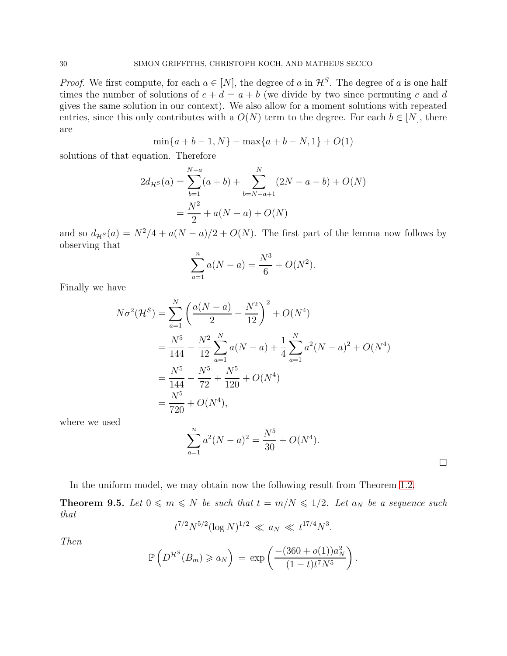*Proof.* We first compute, for each  $a \in [N]$ , the degree of a in  $\mathcal{H}^S$ . The degree of a is one half times the number of solutions of  $c + d = a + b$  (we divide by two since permuting c and d gives the same solution in our context). We also allow for a moment solutions with repeated entries, since this only contributes with a  $O(N)$  term to the degree. For each  $b \in [N]$ , there are

$$
\min\{a+b-1, N\} - \max\{a+b-N, 1\} + O(1)
$$

solutions of that equation. Therefore

$$
2d_{\mathcal{H}^S}(a) = \sum_{b=1}^{N-a} (a+b) + \sum_{b=N-a+1}^{N} (2N - a - b) + O(N)
$$

$$
= \frac{N^2}{2} + a(N-a) + O(N)
$$

and so  $d_{\mathcal{H}}s(a) = N^2/4 + a(N - a)/2 + O(N)$ . The first part of the lemma now follows by observing that

$$
\sum_{a=1}^{n} a(N-a) = \frac{N^3}{6} + O(N^2).
$$

Finally we have

$$
N\sigma^{2}(\mathcal{H}^{S}) = \sum_{a=1}^{N} \left( \frac{a(N-a)}{2} - \frac{N^{2}}{12} \right)^{2} + O(N^{4})
$$
  
=  $\frac{N^{5}}{144} - \frac{N^{2}}{12} \sum_{a=1}^{N} a(N-a) + \frac{1}{4} \sum_{a=1}^{N} a^{2}(N-a)^{2} + O(N^{4})$   
=  $\frac{N^{5}}{144} - \frac{N^{5}}{72} + \frac{N^{5}}{120} + O(N^{4})$   
=  $\frac{N^{5}}{720} + O(N^{4}),$ 

where we used

$$
\sum_{a=1}^{n} a^2 (N - a)^2 = \frac{N^5}{30} + O(N^4).
$$

In the uniform model, we may obtain now the following result from Theorem [1.2.](#page-4-1)

**Theorem 9.5.** Let  $0 \leq m \leq N$  be such that  $t = m/N \leq 1/2$ . Let  $a_N$  be a sequence such that

$$
t^{7/2}N^{5/2}(\log N)^{1/2} \ll a_N \ll t^{17/4}N^3.
$$

Then

$$
\mathbb{P}\left(D^{\mathcal{H}^S}(B_m) \geq a_N\right) = \exp\left(\frac{-(360 + o(1))a_N^2}{(1-t)t^7N^5}\right).
$$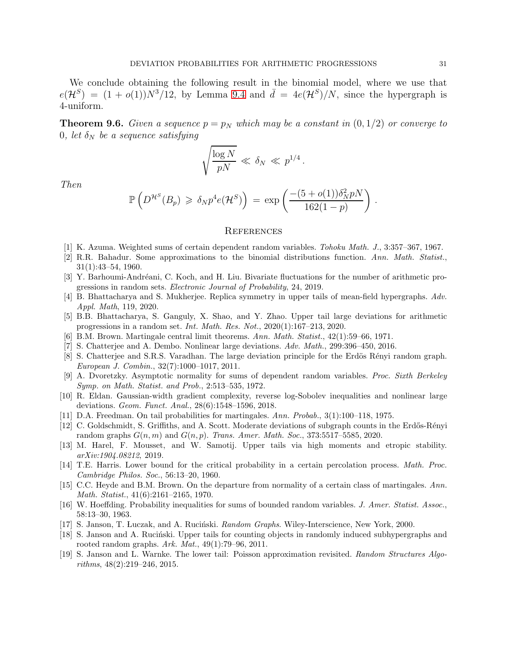We conclude obtaining the following result in the binomial model, where we use that  $e(\mathcal{H}^S) = (1 + o(1))N^3/12$ , by Lemma [9.4](#page-28-1) and  $\bar{d} = 4e(\mathcal{H}^S)/N$ , since the hypergraph is 4-uniform.

**Theorem 9.6.** Given a sequence  $p = p_N$  which may be a constant in  $(0, 1/2)$  or converge to 0, let  $\delta_N$  be a sequence satisfying

$$
\sqrt{\frac{\log N}{pN}} \ll \delta_N \ll p^{1/4}.
$$

Then

$$
\mathbb{P}\left(D^{\mathcal{H}^S}(B_p) \geq \delta_N p^4 e(\mathcal{H}^S)\right) = \exp\left(\frac{-(5+o(1))\delta_N^2 pN}{162(1-p)}\right).
$$

#### **REFERENCES**

- <span id="page-30-18"></span><span id="page-30-15"></span>[1] K. Azuma. Weighted sums of certain dependent random variables. *Tohoku Math. J.*, 3:357–367, 1967.
- [2] R.R. Bahadur. Some approximations to the binomial distributions function. *Ann. Math. Statist.*, 31(1):43–54, 1960.
- <span id="page-30-7"></span>[3] Y. Barhoumi-Andréani, C. Koch, and H. Liu. Bivariate fluctuations for the number of arithmetic progressions in random sets. *Electronic Journal of Probability*, 24, 2019.
- <span id="page-30-9"></span>[4] B. Bhattacharya and S. Mukherjee. Replica symmetry in upper tails of mean-field hypergraphs. *Adv. Appl. Math*, 119, 2020.
- <span id="page-30-0"></span>[5] B.B. Bhattacharya, S. Ganguly, X. Shao, and Y. Zhao. Upper tail large deviations for arithmetic progressions in a random set. *Int. Math. Res. Not.*, 2020(1):167–213, 2020.
- <span id="page-30-11"></span><span id="page-30-3"></span>[6] B.M. Brown. Martingale central limit theorems. *Ann. Math. Statist.*, 42(1):59–66, 1971.
- <span id="page-30-10"></span>[7] S. Chatterjee and A. Dembo. Nonlinear large deviations. *Adv. Math.*, 299:396–450, 2016.
- [8] S. Chatterjee and S.R.S. Varadhan. The large deviation principle for the Erdös Rényi random graph. *European J. Combin.*, 32(7):1000–1017, 2011.
- <span id="page-30-13"></span>[9] A. Dvoretzky. Asymptotic normality for sums of dependent random variables. *Proc. Sixth Berkeley Symp. on Math. Statist. and Prob.*, 2:513–535, 1972.
- <span id="page-30-2"></span>[10] R. Eldan. Gaussian-width gradient complexity, reverse log-Sobolev inequalities and nonlinear large deviations. *Geom. Funct. Anal.*, 28(6):1548–1596, 2018.
- <span id="page-30-17"></span><span id="page-30-14"></span>[11] D.A. Freedman. On tail probabilities for martingales. *Ann. Probab.*, 3(1):100–118, 1975.
- [12] C. Goldschmidt, S. Griffiths, and A. Scott. Moderate deviations of subgraph counts in the Erdős-Rényi random graphs  $G(n, m)$  and  $G(n, p)$ . *Trans. Amer. Math. Soc.*, 373:5517–5585, 2020.
- <span id="page-30-1"></span>[13] M. Harel, F. Mousset, and W. Samotij. Upper tails via high moments and etropic stability. *arXiv:1904.08212*, 2019.
- <span id="page-30-4"></span>[14] T.E. Harris. Lower bound for the critical probability in a certain percolation process. *Math. Proc. Cambridge Philos. Soc.*, 56:13–20, 1960.
- <span id="page-30-12"></span>[15] C.C. Heyde and B.M. Brown. On the departure from normality of a certain class of martingales. *Ann. Math. Statist.*, 41(6):2161–2165, 1970.
- <span id="page-30-16"></span>[16] W. Hoeffding. Probability inequalities for sums of bounded random variables. *J. Amer. Statist. Assoc.*, 58:13–30, 1963.
- <span id="page-30-8"></span><span id="page-30-5"></span>[17] S. Janson, T. Luczak, and A. Ruciński. *Random Graphs*. Wiley-Interscience, New York, 2000.
- [18] S. Janson and A. Rucinski. Upper tails for counting objects in randomly induced subhypergraphs and rooted random graphs. *Ark. Mat.*, 49(1):79–96, 2011.
- <span id="page-30-6"></span>[19] S. Janson and L. Warnke. The lower tail: Poisson approximation revisited. *Random Structures Algorithms*, 48(2):219–246, 2015.